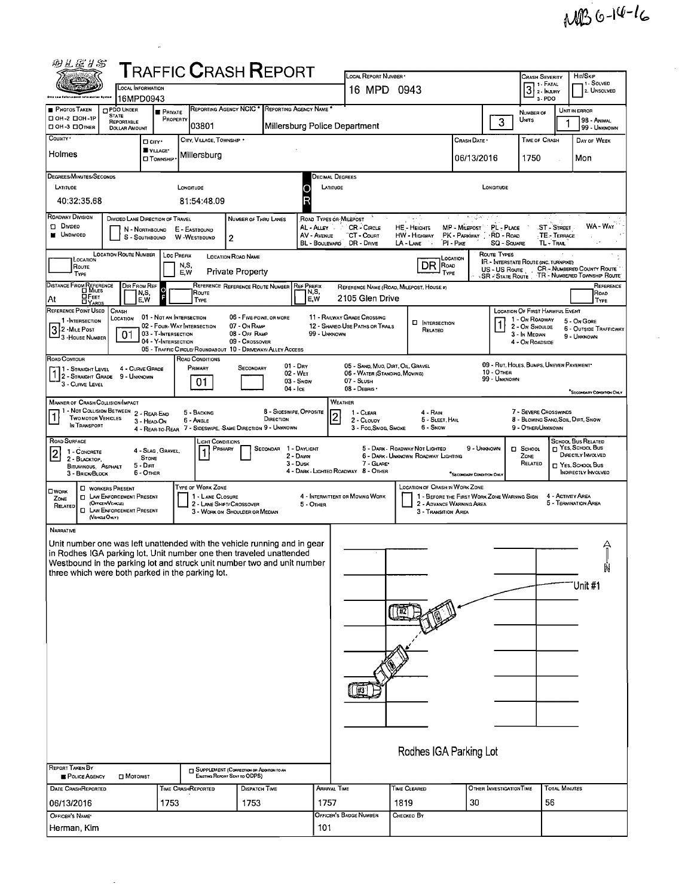| 羽丛医甘多                                                                                                                                                                                                                                                                                                                                                                                                                                             |                                                                                                                                                                                                          |                                                  | <b>TRAFFIC CRASH REPORT</b>                                                    |                                                                           |                                               |              |                                                                       |                                          |                                             |                                          |                                                                       |               |                                                                 |
|---------------------------------------------------------------------------------------------------------------------------------------------------------------------------------------------------------------------------------------------------------------------------------------------------------------------------------------------------------------------------------------------------------------------------------------------------|----------------------------------------------------------------------------------------------------------------------------------------------------------------------------------------------------------|--------------------------------------------------|--------------------------------------------------------------------------------|---------------------------------------------------------------------------|-----------------------------------------------|--------------|-----------------------------------------------------------------------|------------------------------------------|---------------------------------------------|------------------------------------------|-----------------------------------------------------------------------|---------------|-----------------------------------------------------------------|
|                                                                                                                                                                                                                                                                                                                                                                                                                                                   | LOCAL REPORT NUMBER .<br>OCAL INFORMATION<br>16 MPD 0943                                                                                                                                                 |                                                  |                                                                                |                                                                           |                                               |              | <b>CRASH SEVERITY</b><br>3 <sup>1. FATAL</sup>                        |                                          | HIT/SKIP<br>1 - Solved<br>2. UNSOLVED       |                                          |                                                                       |               |                                                                 |
| lota ta a falarcam<br><b>PHOTOS TAKEN</b>                                                                                                                                                                                                                                                                                                                                                                                                         | <b>OPDO UNDER</b>                                                                                                                                                                                        | 16MPD0943                                        |                                                                                |                                                                           | REPORTING AGENCY NCIC * REPORTING AGENCY NAME |              |                                                                       |                                          |                                             |                                          | 3-PDO                                                                 |               |                                                                 |
| □ ОН-2 □ ОН-1Р                                                                                                                                                                                                                                                                                                                                                                                                                                    | <b>STATE</b><br>REPORTABLE                                                                                                                                                                               | <b>PRIVATE</b>                                   | PROPERTY<br>03801                                                              |                                                                           |                                               |              | Millersburg Police Department                                         |                                          |                                             | 3                                        | NUMBER OF<br>Units                                                    |               | UNIT IN ERROR<br>98 - ANIMAL                                    |
| DOH 3 DOMER<br>COUNTY <sup>.</sup>                                                                                                                                                                                                                                                                                                                                                                                                                | <b>DOLLAR AMOUNT</b>                                                                                                                                                                                     | <b>O</b> CITY'                                   | CITY, VILLAGE, TOWNSHIP .                                                      |                                                                           |                                               |              |                                                                       | Crash Date •                             | TIME OF CRASH                               |                                          | 99 - UNKNOWN<br>DAY OF WEEK                                           |               |                                                                 |
| Holmes                                                                                                                                                                                                                                                                                                                                                                                                                                            | VILLAGE*<br>Millersburg<br><b>CI</b> TOWNSHIP                                                                                                                                                            |                                                  |                                                                                |                                                                           |                                               |              |                                                                       |                                          | 06/13/2016                                  | 1750                                     |                                                                       | Mon           |                                                                 |
| <b>DEGREES/MINUTES/SECONDS</b>                                                                                                                                                                                                                                                                                                                                                                                                                    |                                                                                                                                                                                                          |                                                  |                                                                                |                                                                           |                                               |              |                                                                       |                                          |                                             |                                          |                                                                       |               |                                                                 |
| <b>DECIMAL DEGREES</b><br>LATITUDE<br>LONGITUDE<br>LATITUDE<br>LONGITUDE                                                                                                                                                                                                                                                                                                                                                                          |                                                                                                                                                                                                          |                                                  |                                                                                |                                                                           |                                               |              |                                                                       |                                          |                                             |                                          |                                                                       |               |                                                                 |
| 40:32:35.68<br>81:54:48.09                                                                                                                                                                                                                                                                                                                                                                                                                        |                                                                                                                                                                                                          |                                                  |                                                                                |                                                                           |                                               |              |                                                                       |                                          |                                             |                                          |                                                                       |               |                                                                 |
| ROADWAY DIVISION<br>DIVIDED LANE DIRECTION OF TRAVEL<br>ROAD TYPES OR MILEPOST<br>NUMBER OF THRU LANES<br>ingen in<br><b>D</b> Divideo<br>PL - PLACE<br>ST - STREET<br>AL-ALLEY<br><b>CR-CIRCLE</b><br><b>HE-HEIGHTS</b><br>MP - MILEPOST<br>N - NORTHBOUND<br>E - EASTBOUND<br><b>UNDIVIDED</b><br>AV - AVENUE<br>CT - Count<br><b>HW - HIGHWAY</b><br>PK - PARKWAY : RD - ROAD<br>TE TERRACE<br>W-WESTBOUND<br>$\overline{c}$<br>S - SOUTHBOUND |                                                                                                                                                                                                          |                                                  |                                                                                |                                                                           |                                               |              |                                                                       |                                          |                                             |                                          | WA - Way                                                              |               |                                                                 |
|                                                                                                                                                                                                                                                                                                                                                                                                                                                   | <b>SQ - SOVARE</b><br>TL - Tral<br>BL - Boulevard<br>DR - Dave<br>LA - LANE<br>$PI - P$ ike<br><b>LOCATION ROUTE NUMBER</b><br>ROUTE TYPES<br><b>LOC PREFIX</b><br><b>LOCATION ROAD NAME</b><br>LOCATION |                                                  |                                                                                |                                                                           |                                               |              |                                                                       |                                          |                                             |                                          |                                                                       |               |                                                                 |
| LOCATION<br>ROUTE<br>TYPE                                                                                                                                                                                                                                                                                                                                                                                                                         |                                                                                                                                                                                                          |                                                  | N,S,<br>E,W                                                                    | <b>Private Property</b>                                                   |                                               |              |                                                                       | DR ROAD<br>TYPE                          |                                             | US - US Route<br><b>SR - STATE ROUTE</b> | <b>IR.</b> - INTERSTATE ROUTE (INC. TURNPIKE)<br>$\ddot{\phantom{a}}$ |               | <b>CR-NUMBERED COUNTY ROUTE</b><br>TR - NUMBERED TOWNSHIP ROUTE |
| DISTANCE FROM REFERENCE                                                                                                                                                                                                                                                                                                                                                                                                                           |                                                                                                                                                                                                          | DIR FROM REF<br>N,S,                             | ROUTE                                                                          |                                                                           | REFERENCE REFERENCE ROUTE NUMBER REF PREFIX   | N,S,         |                                                                       | REFERENCE NAME (ROAD, MILEPOST, HOUSE #) |                                             |                                          |                                                                       |               | REFERENCE<br>ROAD                                               |
| ⊔F∈ет<br>At<br><b>DYARDS</b><br>REFERENCE POINT USED                                                                                                                                                                                                                                                                                                                                                                                              | CRASH                                                                                                                                                                                                    | E.W                                              | TYPE                                                                           |                                                                           |                                               | E.W          | 2105 Glen Drive                                                       |                                          |                                             |                                          | LOCATION OF FIRST HARMFUL EVENT                                       |               | TYPE                                                            |
| 1 - INTERSECTION                                                                                                                                                                                                                                                                                                                                                                                                                                  | LOCATION                                                                                                                                                                                                 | 01 - NOT AN INTERSECTION                         | 02 - FOUR-WAY INTERSECTION                                                     | 06 - FIVE POINT, OR MORE<br>07 - On RAMP                                  |                                               |              | <b>11 - RAILWAY GRADE CROSSING</b><br>12 - SHAREO-USE PATHS OR TRAILS | <b>D</b> INTERSECTION                    |                                             |                                          | 1 - On Roadway<br>2 - ON SHOULDE                                      |               | 5 - On Gore<br><b>6 - OUTSIDE TRAFFICWAY</b>                    |
| 3 2 - Mile Post<br>3 - House Number                                                                                                                                                                                                                                                                                                                                                                                                               | 0 <sup>1</sup>                                                                                                                                                                                           | 03 - T-INTERSECTION<br>04 - Y-INTERSECTION       |                                                                                | 08 - Off RAMP<br>09 - Crossover                                           |                                               | 99 - UNKNOWN |                                                                       | RELATED                                  |                                             |                                          | 3 - In Median<br>4 - On ROADSIDE                                      |               | 9 - UNKNOWN                                                     |
| <b>ROAD CONTOUR</b>                                                                                                                                                                                                                                                                                                                                                                                                                               |                                                                                                                                                                                                          |                                                  | 05 - TRAFFIC CIRCLE/ ROUNDABOUT 10 - DRIVEWAY/ ALLEY ACCESS<br>ROAD CONDITIONS |                                                                           |                                               |              |                                                                       |                                          |                                             |                                          |                                                                       |               |                                                                 |
| 11 - Straight Level<br>1 2 - STRAIGHT GRADE 9 - UNKNOWN                                                                                                                                                                                                                                                                                                                                                                                           |                                                                                                                                                                                                          | 4 - CURVE GRADE                                  | Primary                                                                        | SECONDARY                                                                 | $01 - Draw$<br>02 - Wet                       |              | 05 - SAND, MUO, DIRT, OIL, GRAVEL<br>06 - WATER (STANDING, MOVING)    |                                          |                                             | 10 - OTHER<br>99 - UNKNOWN               | 09 - RUT, HOLES, BUMPS, UNEVEN PAVEMENT                               |               |                                                                 |
| 3 - CURVE LEVEL                                                                                                                                                                                                                                                                                                                                                                                                                                   |                                                                                                                                                                                                          |                                                  | 01                                                                             |                                                                           | 03 - SNGW<br>04 - Ice                         |              | 07 - SLUSH<br>08 - DEBRIS                                             |                                          |                                             |                                          |                                                                       |               | <b>SECONDARY CONDITION ONLY</b>                                 |
| <b>MANNER OF CRASH COLLISION/IMPACT</b>                                                                                                                                                                                                                                                                                                                                                                                                           | 1 - NOT COLLISION BETWEEN 2 - REAR-END                                                                                                                                                                   |                                                  | 5 - BACKING                                                                    |                                                                           | 8 - SIOESWIPE, OPPOSITE                       |              | WEATHER<br>1 - CLEAR                                                  | 4 - RAIN                                 |                                             |                                          | 7 - SEVERE CROSSWINDS                                                 |               |                                                                 |
| <b>TWO MOTOR VEHICLES</b><br>IN TRANSPORT                                                                                                                                                                                                                                                                                                                                                                                                         |                                                                                                                                                                                                          | 3 - HEAD-ON                                      | 6 - Angle<br>4 - REAR-TO-REAR 7 - SIDESWIPE, SAME DIRECTION 9 - UNKNOWN        |                                                                           | DIRECTION                                     | $\vert$ 2    | 2 - CLOUDY<br>3 - Fog Smog, Smoke                                     | 5 - SLEET, HAIL<br>6 - Snow              |                                             |                                          | 8 - Blowing Sano, Soil, Dirt, Snow<br>9 - OTHER/UNKNOWN               |               |                                                                 |
| <b>ROAD SURFACE</b>                                                                                                                                                                                                                                                                                                                                                                                                                               |                                                                                                                                                                                                          |                                                  | LIGHT CONDITIONS                                                               | PRIMARY                                                                   | 1 - DAYLIGHT<br>SECONDAR                      |              |                                                                       | 5 - DARK - ROADWAY NOT LIGHTED           | 9 - UNKNOWN                                 |                                          | <b>D</b> SCHOOL                                                       |               | <b>SCHOOL BUS RELATED</b><br>T YES, SCHDOL BUS                  |
| 1 - CONCRETE<br>2<br>2 BLACKTOP,<br>BITUMINOUS, ASPHALT                                                                                                                                                                                                                                                                                                                                                                                           |                                                                                                                                                                                                          | 4 - SLAG, GRAVEL,<br><b>STONE</b><br>$5 - D$ IRT |                                                                                |                                                                           | 2 - Dawn<br>3 - Dusk                          |              | 7 - GLARE*                                                            | 6 - DARK - UNKNOWN ROADWAY LIGHTING      |                                             |                                          | ZONE<br>RELATED                                                       |               | DIRECTLY INVOLVED<br>T YES, SCHOOL BUS                          |
| 3 - BRICK/BLOCK                                                                                                                                                                                                                                                                                                                                                                                                                                   |                                                                                                                                                                                                          | 6 - OTHER                                        |                                                                                |                                                                           |                                               |              | 4 - DARK - LIGHTED ROADWAY 8 - OTHER                                  |                                          | "SECONDARY CONDITION ONLY                   |                                          |                                                                       |               | <b>INDIRECTLY INVOLVED</b>                                      |
| <b>OWORK</b><br>ZONE                                                                                                                                                                                                                                                                                                                                                                                                                              | <b>C</b> WORKERS PRESENT<br><b>D</b> LAW ENFORCEMENT PRESENT                                                                                                                                             |                                                  | Type of Work Zone<br>1 - LANE CLOSURE                                          |                                                                           |                                               |              | 4 - INTERMITTENT OR MOVING WORK                                       | <b>LOCATION OF CRASH IN WORK ZONE</b>    | 1 - BEFORE THE FIRST WORK ZONE WARNING SIGN |                                          |                                                                       |               | 4 ACTIVITY AREA                                                 |
| RELATED                                                                                                                                                                                                                                                                                                                                                                                                                                           | (OFFICER/VEHICLE)<br><b>CI LAW ENFORCEMENT PRESENT</b><br>(VERGEORLY)                                                                                                                                    |                                                  |                                                                                | 2 - LANE SHIFT/ CROSSOVER<br>3 - WORK ON SHOULDER OR MEDIAN               |                                               | 5 - OTHER    |                                                                       | 3 TRANSITION AREA                        | 2 - ADVANCE WARNING AREA                    |                                          |                                                                       |               | 5 - TERMINATION AREA                                            |
| <b>NARRATIVE</b>                                                                                                                                                                                                                                                                                                                                                                                                                                  |                                                                                                                                                                                                          |                                                  |                                                                                |                                                                           |                                               |              |                                                                       |                                          |                                             |                                          |                                                                       |               |                                                                 |
| Unit number one was left unattended with the vehicle running and in gear<br>in Rodhes IGA parking lot. Unit number one then traveled unattended                                                                                                                                                                                                                                                                                                   |                                                                                                                                                                                                          |                                                  |                                                                                |                                                                           |                                               |              |                                                                       |                                          |                                             |                                          |                                                                       |               |                                                                 |
| Westbound in the parking lot and struck unit number two and unit number                                                                                                                                                                                                                                                                                                                                                                           |                                                                                                                                                                                                          |                                                  |                                                                                |                                                                           |                                               |              |                                                                       |                                          |                                             |                                          |                                                                       |               | N                                                               |
| three which were both parked in the parking lot.                                                                                                                                                                                                                                                                                                                                                                                                  |                                                                                                                                                                                                          |                                                  |                                                                                |                                                                           |                                               |              |                                                                       |                                          |                                             |                                          |                                                                       |               | Unit #1                                                         |
|                                                                                                                                                                                                                                                                                                                                                                                                                                                   |                                                                                                                                                                                                          |                                                  |                                                                                |                                                                           |                                               |              |                                                                       |                                          |                                             |                                          |                                                                       |               |                                                                 |
|                                                                                                                                                                                                                                                                                                                                                                                                                                                   |                                                                                                                                                                                                          |                                                  |                                                                                |                                                                           |                                               |              |                                                                       |                                          |                                             |                                          |                                                                       |               |                                                                 |
|                                                                                                                                                                                                                                                                                                                                                                                                                                                   |                                                                                                                                                                                                          |                                                  |                                                                                |                                                                           |                                               |              |                                                                       |                                          |                                             |                                          |                                                                       |               |                                                                 |
|                                                                                                                                                                                                                                                                                                                                                                                                                                                   |                                                                                                                                                                                                          |                                                  |                                                                                |                                                                           |                                               |              |                                                                       |                                          |                                             |                                          |                                                                       |               |                                                                 |
|                                                                                                                                                                                                                                                                                                                                                                                                                                                   |                                                                                                                                                                                                          |                                                  |                                                                                |                                                                           |                                               |              |                                                                       |                                          |                                             |                                          |                                                                       |               |                                                                 |
|                                                                                                                                                                                                                                                                                                                                                                                                                                                   |                                                                                                                                                                                                          |                                                  |                                                                                |                                                                           |                                               |              | 概                                                                     |                                          |                                             |                                          |                                                                       |               |                                                                 |
|                                                                                                                                                                                                                                                                                                                                                                                                                                                   |                                                                                                                                                                                                          |                                                  |                                                                                |                                                                           |                                               |              |                                                                       |                                          |                                             |                                          |                                                                       |               |                                                                 |
|                                                                                                                                                                                                                                                                                                                                                                                                                                                   |                                                                                                                                                                                                          |                                                  |                                                                                |                                                                           |                                               |              |                                                                       |                                          |                                             |                                          |                                                                       |               |                                                                 |
|                                                                                                                                                                                                                                                                                                                                                                                                                                                   |                                                                                                                                                                                                          |                                                  |                                                                                |                                                                           |                                               |              |                                                                       |                                          |                                             |                                          |                                                                       |               |                                                                 |
|                                                                                                                                                                                                                                                                                                                                                                                                                                                   |                                                                                                                                                                                                          |                                                  |                                                                                |                                                                           |                                               |              |                                                                       | Rodhes IGA Parking Lot                   |                                             |                                          |                                                                       |               |                                                                 |
| REPORT TAKEN BY<br>POLICE AGENCY                                                                                                                                                                                                                                                                                                                                                                                                                  | MOTORIST                                                                                                                                                                                                 |                                                  |                                                                                | SUPPLEMENT (CORRECTION OR ADDITION TO AN<br>EXISTING REPORT SENT TO ODPS) |                                               |              |                                                                       |                                          |                                             |                                          |                                                                       |               |                                                                 |
| DATE CRASHREPORTED                                                                                                                                                                                                                                                                                                                                                                                                                                |                                                                                                                                                                                                          |                                                  | Time CrashReported                                                             | DISPATCH TIME                                                             |                                               | Arrival Time |                                                                       | Time Cleared                             |                                             | OTHER INVESTIGATION TIME                 |                                                                       | TOTAL MINUTES |                                                                 |
| 06/13/2016                                                                                                                                                                                                                                                                                                                                                                                                                                        |                                                                                                                                                                                                          | 1753                                             |                                                                                | 1753                                                                      |                                               | 1757         |                                                                       | 1819                                     | 30                                          |                                          |                                                                       | 56            |                                                                 |
| OFFICER'S NAME*<br>Herman, Kim                                                                                                                                                                                                                                                                                                                                                                                                                    |                                                                                                                                                                                                          |                                                  |                                                                                |                                                                           |                                               | 101          | OFFICER'S BADGE NUMBER                                                | Снескео Вү                               |                                             |                                          |                                                                       |               |                                                                 |
|                                                                                                                                                                                                                                                                                                                                                                                                                                                   |                                                                                                                                                                                                          |                                                  |                                                                                |                                                                           |                                               |              |                                                                       |                                          |                                             |                                          |                                                                       |               |                                                                 |

 $\overline{\phantom{a}}$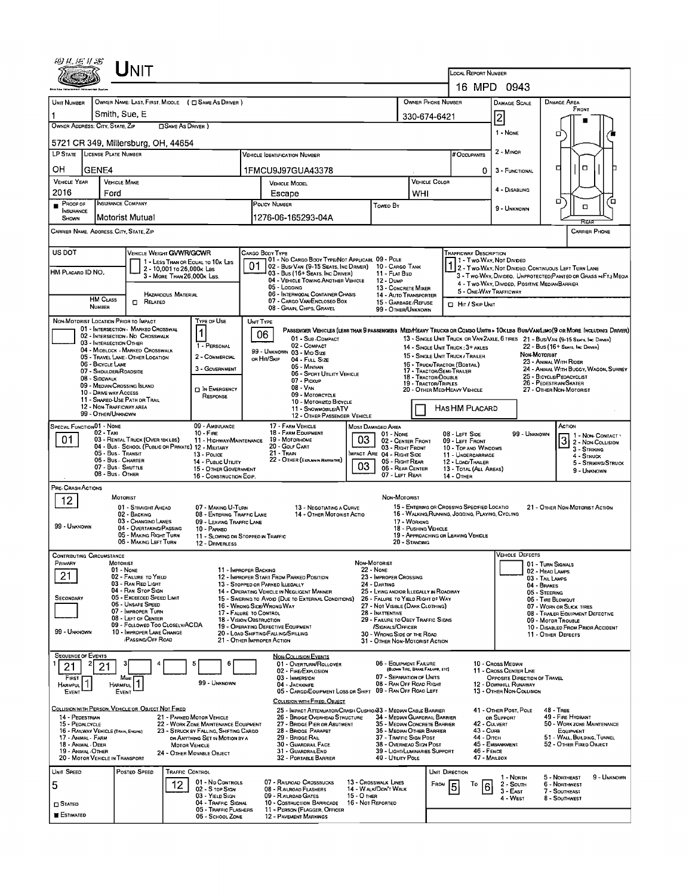|                                                                                                                                                                                                                                                                                                                                                                                                                                                                                            |                                                                                                                                       | $U$ NIT                                                               |                                                          |                                                         |                                                                                                           |                                                                                                                                                          |                                  |                                                               |                                              |                                             |                                                                                                                              |                                                       |                          |                                                                  |                                      |             |
|--------------------------------------------------------------------------------------------------------------------------------------------------------------------------------------------------------------------------------------------------------------------------------------------------------------------------------------------------------------------------------------------------------------------------------------------------------------------------------------------|---------------------------------------------------------------------------------------------------------------------------------------|-----------------------------------------------------------------------|----------------------------------------------------------|---------------------------------------------------------|-----------------------------------------------------------------------------------------------------------|----------------------------------------------------------------------------------------------------------------------------------------------------------|----------------------------------|---------------------------------------------------------------|----------------------------------------------|---------------------------------------------|------------------------------------------------------------------------------------------------------------------------------|-------------------------------------------------------|--------------------------|------------------------------------------------------------------|--------------------------------------|-------------|
|                                                                                                                                                                                                                                                                                                                                                                                                                                                                                            |                                                                                                                                       |                                                                       |                                                          |                                                         |                                                                                                           |                                                                                                                                                          |                                  |                                                               |                                              |                                             | LOCAL REPORT NUMBER<br>16 MPD                                                                                                |                                                       | 0943                     |                                                                  |                                      |             |
| UNIT NUMBER                                                                                                                                                                                                                                                                                                                                                                                                                                                                                |                                                                                                                                       |                                                                       |                                                          | OWNER NAME: LAST, FIRST, MIDDLE ( C SAME AS DRIVER )    |                                                                                                           |                                                                                                                                                          |                                  |                                                               |                                              | OWNER PHONE NUMBER                          |                                                                                                                              | <b>DAMAGE SCALE</b>                                   |                          | <b>DAMAGE AREA</b>                                               |                                      |             |
|                                                                                                                                                                                                                                                                                                                                                                                                                                                                                            | Smith, Sue, E                                                                                                                         |                                                                       |                                                          |                                                         |                                                                                                           |                                                                                                                                                          |                                  | 330-674-6421                                                  |                                              |                                             |                                                                                                                              |                                                       | FRONT                    |                                                                  |                                      |             |
| OWNER ADDRESS: CITY, STATE, ZIP                                                                                                                                                                                                                                                                                                                                                                                                                                                            |                                                                                                                                       |                                                                       | <b>OSAME AS DRIVER</b> )                                 |                                                         |                                                                                                           |                                                                                                                                                          |                                  |                                                               |                                              |                                             | 2                                                                                                                            |                                                       |                          |                                                                  |                                      |             |
|                                                                                                                                                                                                                                                                                                                                                                                                                                                                                            |                                                                                                                                       | 5721 CR 349, Millersburg, OH, 44654                                   |                                                          |                                                         |                                                                                                           |                                                                                                                                                          |                                  |                                                               |                                              |                                             |                                                                                                                              | 1 - NONE                                              |                          | α                                                                |                                      |             |
| LP STATE LICENSE PLATE NUMBER                                                                                                                                                                                                                                                                                                                                                                                                                                                              |                                                                                                                                       |                                                                       |                                                          |                                                         | <b>VEHICLE IDENTIFICATION NUMBER</b>                                                                      |                                                                                                                                                          |                                  |                                                               |                                              | # Occupants                                 | 2 - MINOR                                                                                                                    |                                                       |                          |                                                                  |                                      |             |
| OН<br>GENE4                                                                                                                                                                                                                                                                                                                                                                                                                                                                                |                                                                                                                                       |                                                                       |                                                          |                                                         |                                                                                                           | 1FMCU9J97GUA43378                                                                                                                                        |                                  |                                                               |                                              |                                             |                                                                                                                              | ο<br>3 - FUNCTIONAL<br>0.                             |                          |                                                                  |                                      |             |
| <b>VEHICLE YEAR</b>                                                                                                                                                                                                                                                                                                                                                                                                                                                                        | <b>VEHICLE MAKE</b>                                                                                                                   |                                                                       |                                                          |                                                         | <b>VEHICLE MODEL</b>                                                                                      |                                                                                                                                                          |                                  |                                                               |                                              | <b>VEHICLE COLOR</b>                        |                                                                                                                              | 4 - DISABLING                                         |                          |                                                                  |                                      |             |
| 2016<br>$P$ ROOF OF                                                                                                                                                                                                                                                                                                                                                                                                                                                                        | Ford<br><b>INSURANCE COMPANY</b>                                                                                                      |                                                                       |                                                          |                                                         | Escape<br>POLICY NUMBER                                                                                   |                                                                                                                                                          |                                  |                                                               | WHI                                          |                                             |                                                                                                                              |                                                       |                          | α                                                                |                                      | 'о          |
| <b>INSURANCE</b><br>SHOWN                                                                                                                                                                                                                                                                                                                                                                                                                                                                  | Motorist Mutual                                                                                                                       |                                                                       |                                                          |                                                         |                                                                                                           | Toweo By<br>1276-06-165293-04A                                                                                                                           |                                  |                                                               |                                              |                                             |                                                                                                                              | 9 - UNKNOWN                                           |                          |                                                                  | α                                    |             |
| CARRIER NAME, ADORESS CITY, STATE, ZIP                                                                                                                                                                                                                                                                                                                                                                                                                                                     |                                                                                                                                       |                                                                       |                                                          |                                                         |                                                                                                           |                                                                                                                                                          |                                  |                                                               |                                              |                                             |                                                                                                                              |                                                       |                          |                                                                  | CARRIER PHONE                        |             |
| US DOT                                                                                                                                                                                                                                                                                                                                                                                                                                                                                     |                                                                                                                                       | VEHICLE WEIGHT GVWR/GCWR                                              |                                                          |                                                         |                                                                                                           | CARGO BODY TYPE                                                                                                                                          |                                  |                                                               |                                              |                                             | Trafficway Description                                                                                                       |                                                       |                          |                                                                  |                                      |             |
|                                                                                                                                                                                                                                                                                                                                                                                                                                                                                            |                                                                                                                                       |                                                                       |                                                          | 1 - LESS THAN OR EQUAL TO 10K LBS                       | 01                                                                                                        | 01 - No CARGO BODY TYPE/NOT APPLICABL 09 - POLE<br>  02 - Bus/ Van (9-15 Seats, Inc Driver)                                                              |                                  | 10 - Cargo Tank                                               |                                              |                                             | 1 - Two-Way, Not Divideo                                                                                                     |                                                       |                          | 2 - Two-Way, NOT DIVIDED, CONTINUOUS LEFT TURN LANE              |                                      |             |
| HM PLACARD ID NO.                                                                                                                                                                                                                                                                                                                                                                                                                                                                          |                                                                                                                                       |                                                                       | 2 - 10,001 το 26,000 κ Las<br>3 - MORE THAN 26,000K LBS. |                                                         |                                                                                                           | 03 - Bus (16+ Seats, Inc Driver)<br>04 - VEHICLE TOWING ANDTHER VEHICLE                                                                                  |                                  | 11 - FLAT BED<br>12 - Dump                                    |                                              |                                             |                                                                                                                              |                                                       |                          | 3 - Two WAY, DIVIDEO, UNPROTECTED (PAINTEO OR GRASS =4FT.) MEOIA |                                      |             |
|                                                                                                                                                                                                                                                                                                                                                                                                                                                                                            |                                                                                                                                       |                                                                       | <b>HAZARODUS MATERIAL</b>                                |                                                         |                                                                                                           | 05 - Logging<br>06 - INTERMODAL CONTAINER CHASIS                                                                                                         |                                  |                                                               | 13 - CONCRETE MIXER<br>14 - Auto Transporter |                                             |                                                                                                                              | 5 - ONE-WAY TRAFFICWAY                                |                          | 4 - Two-WAY, DIVIDED, POSITIVE MEDIAN BARRIER                    |                                      |             |
|                                                                                                                                                                                                                                                                                                                                                                                                                                                                                            | <b>HM CLASS</b><br><b>NUMBER</b>                                                                                                      | $\Box$<br>RELATED                                                     |                                                          |                                                         |                                                                                                           | 07 - CARGO VAN ENCLOSEO BOX<br>08 - Gran, Chips, Gravel                                                                                                  |                                  |                                                               |                                              | 15 - GARBAGE / REFUSE<br>99 - OTHER/UNKNOWN |                                                                                                                              |                                                       | <b>C HIT / SKIP UNIT</b> |                                                                  |                                      |             |
| NON-MOTORIST LOCATION PRIOR TO IMPACT                                                                                                                                                                                                                                                                                                                                                                                                                                                      |                                                                                                                                       | 01 - INTERSECTION MARKED CROSSWAL                                     |                                                          | TYPE OF USE                                             | UNIT TYPE                                                                                                 |                                                                                                                                                          |                                  |                                                               |                                              |                                             |                                                                                                                              |                                                       |                          |                                                                  |                                      |             |
|                                                                                                                                                                                                                                                                                                                                                                                                                                                                                            | 03 - INTERSECTION OTHER                                                                                                               | 02 - Intersection - No Crosswalk                                      |                                                          |                                                         |                                                                                                           | PASSENGER VEHICLES (LESS THAN 9 PASSENGERS MEDIMEAVY TRUCKS OR COMBO UNITS > 10K LES BUS/VAM LIMO(9 OR MORE INCLUDING DRIVER)<br>06<br>01 - SUB-COMPACT  |                                  |                                                               |                                              |                                             | 13 - SINGLE UNIT TRUCK OR VAN ZAXLE, 6 TIRES 21 - BUS/VAN (9-15 SEATS, INC DRIVER)                                           |                                                       |                          |                                                                  |                                      |             |
|                                                                                                                                                                                                                                                                                                                                                                                                                                                                                            |                                                                                                                                       | 04 - MIDBLOCK - MARKEO CROSSWALK<br>05 - TRAVEL LANE - OTHER LOCATION |                                                          | 1 - PERSONAL<br>2 - COMMERCIAL                          |                                                                                                           | 02 - COMPACT<br>99 - UNKNOWN 03 - MID SIZE                                                                                                               |                                  |                                                               |                                              |                                             | 14 - SINGLE UNIT TRUCK: 3+ AXLES<br>15 - SINGLE UNIT TRUCK / TRAILER                                                         |                                                       | NON-MOTORIST             | 22 - BUS (16+ SEATS, INC DRIVER)                                 |                                      |             |
|                                                                                                                                                                                                                                                                                                                                                                                                                                                                                            | 06 - BICYCLE LANE<br>07 - SHOULDER/RDADSIDE                                                                                           |                                                                       |                                                          | 3 - GOVERNMENT                                          |                                                                                                           | OR HIT/SKIP<br>04 - FULL SIZE<br>05 - MINIVAN                                                                                                            |                                  |                                                               |                                              |                                             | 23 - ANIMAL WITH RIDER<br>16 - TRUCK/TRACTOR (BOBTAIL)<br>24 - ANIMAL WITH BUGGY, WAGON, SURREY<br>17 - TRACTOR/SEMI-TRAILER |                                                       |                          |                                                                  |                                      |             |
|                                                                                                                                                                                                                                                                                                                                                                                                                                                                                            | 08 - SIDEWALK<br>09 - MEDIAN/CROSSING ISLAND                                                                                          |                                                                       |                                                          |                                                         | 06 - SPORT UTILITY VEHICLE<br>18 - TRACTOR/DOUBLE<br>07 - Pickup<br>19 - Tractor/Triples<br>$08 - V_{AN}$ |                                                                                                                                                          |                                  |                                                               |                                              |                                             | 25 - BICYCLE/PEDACYCLIST<br>26 - PEDESTRIAN/SKATER                                                                           |                                                       |                          |                                                                  |                                      |             |
|                                                                                                                                                                                                                                                                                                                                                                                                                                                                                            | <b>D</b> IN EMERGENCY<br>10 - DRNE WAY ACCESS<br>RESPONSE<br>11 - SHAREO-USE PATH OR TRAIL                                            |                                                                       |                                                          |                                                         |                                                                                                           | 09 - MOTORCYCLE<br>10 - MOTORIZED BICYCLE                                                                                                                |                                  |                                                               |                                              |                                             | 20 - OTHER MEDIHEAVY VEHICLE                                                                                                 |                                                       |                          | 27 - OTHER NON-MOTORIST                                          |                                      |             |
|                                                                                                                                                                                                                                                                                                                                                                                                                                                                                            | 12 - Non-Trafficway area<br>99 - OTHER/UNKNOWN                                                                                        |                                                                       |                                                          |                                                         |                                                                                                           | 11 - SNOWMOBILE/ATV<br>12 - OTHER PASSENGER VEHICLE                                                                                                      |                                  |                                                               |                                              |                                             | HASHM PLACARD                                                                                                                |                                                       |                          |                                                                  |                                      |             |
| SPECIAL FUNCTION01 - NONE                                                                                                                                                                                                                                                                                                                                                                                                                                                                  | 02 - TAXI                                                                                                                             |                                                                       |                                                          | 09 - AMBULANCE<br>$10 -$ Fire                           |                                                                                                           | 17 - FARM VEHICLE<br>18 - FARM EQUIPMENT                                                                                                                 | MOST DAMAGED AREA                |                                                               |                                              |                                             |                                                                                                                              |                                                       |                          | ACTION                                                           |                                      |             |
| 01                                                                                                                                                                                                                                                                                                                                                                                                                                                                                         |                                                                                                                                       | 03 - RENTAL TRUCK (OVER 10K LBS)                                      |                                                          | 11 - HIGHWAY/MAINTENANCE                                |                                                                                                           | 19 - MOTORHOME<br>20 - Gour CART                                                                                                                         | 03                               | 01 NONE<br>02 - CENTER FRONT<br>03 RIGHT FRONT                |                                              |                                             | 08 - LEFT SIDE<br>09 - LEFT FRONT<br>10 - TOP AND WINDOWS                                                                    |                                                       | 99 - Unknown             |                                                                  | 1 - Non-CONTACT<br>3 2 - NON-CONTACT |             |
|                                                                                                                                                                                                                                                                                                                                                                                                                                                                                            | 04 - Bus - SCHOOL (PUBLIC OR PRIVATE) 12 - MILITARY<br>05 - Bus - Transit<br>13 - Police<br>06 - Bus - Charter<br>14 - PUBLIC UTILITY |                                                                       |                                                          |                                                         |                                                                                                           | 21 - Tran<br>MPACT ARE 04 - RIGHT SIDE<br>22 - OTHER (EXPLAN IN NARRATIVE)<br>05 - RIGHT REAR                                                            |                                  |                                                               |                                              |                                             | 11 - UNDERCARRIAGE<br>12 - LOAD/TRAILER                                                                                      |                                                       |                          |                                                                  | 3 - STRIKING<br>4 - Struck           |             |
|                                                                                                                                                                                                                                                                                                                                                                                                                                                                                            | 07 - Bus - SHUTTLE<br>15 - OTHER GOVERNMENT<br>08 - Bus - OTHER<br>16 - CONSTRUCTION EOIP.                                            |                                                                       |                                                          |                                                         |                                                                                                           | 03<br>06 - REAR CENTER<br>07 - LEFT REAR                                                                                                                 |                                  |                                                               |                                              |                                             | 13 - TOTAL (ALL AREAS)<br>14 - Опен                                                                                          |                                                       |                          |                                                                  | 5 - STRIKING/STRUCK<br>9 - UNKNOWN   |             |
| PRE-CRASH ACTIONS                                                                                                                                                                                                                                                                                                                                                                                                                                                                          |                                                                                                                                       |                                                                       |                                                          |                                                         |                                                                                                           |                                                                                                                                                          |                                  |                                                               |                                              |                                             |                                                                                                                              |                                                       |                          |                                                                  |                                      |             |
| 12                                                                                                                                                                                                                                                                                                                                                                                                                                                                                         |                                                                                                                                       | MOTORIST<br>01 - STRAIGHT AHEAD                                       |                                                          | 07 - MAKING U-TURN                                      |                                                                                                           | 13 - NEGOTIATING A CURVE                                                                                                                                 |                                  | NON-MOTORIST                                                  |                                              |                                             | 15 - ENTERING OR CROSSING SPECIFIED LOCATIO                                                                                  |                                                       |                          | 21 - OTHER NON-MOTORIST ACTION                                   |                                      |             |
|                                                                                                                                                                                                                                                                                                                                                                                                                                                                                            |                                                                                                                                       | 02 - BACKING<br>03 - CHANGINO LANES                                   |                                                          | 08 - ENTERING TRAFFIC LANE<br>09 - LEAVING TRAFFIC LANE |                                                                                                           | 14 - OTHER MOTORIST ACTIO                                                                                                                                |                                  |                                                               | 17 - WORKING                                 |                                             | 16 - WALKING, RUNNING, JOGGING, PLAYING, CYCLING                                                                             |                                                       |                          |                                                                  |                                      |             |
| 99 - UNKNOWN                                                                                                                                                                                                                                                                                                                                                                                                                                                                               |                                                                                                                                       | 04 - OVERTAKING/PASSING<br>05 - MAKING RIGHT TURN                     |                                                          | 10 - PARKEO<br>11 - SLOWING OR STOPPEO IN TRAFFIC       |                                                                                                           | 18 - PUSHING VEHICLE<br>19 - APPROACHING OR LEAVING VEHICLE                                                                                              |                                  |                                                               |                                              |                                             |                                                                                                                              |                                                       |                          |                                                                  |                                      |             |
|                                                                                                                                                                                                                                                                                                                                                                                                                                                                                            |                                                                                                                                       | 06 - MAKING LEFT TURN                                                 |                                                          | 12 - DRIVERLESS                                         |                                                                                                           |                                                                                                                                                          |                                  |                                                               | 20 - Standing                                |                                             |                                                                                                                              |                                                       |                          |                                                                  |                                      |             |
| <b>CONTRIBUTING CIRCUMSTANCE</b><br>PRIMARY                                                                                                                                                                                                                                                                                                                                                                                                                                                | <b>MOTORIST</b>                                                                                                                       |                                                                       |                                                          |                                                         |                                                                                                           |                                                                                                                                                          | NON-MOTORIST                     |                                                               |                                              |                                             |                                                                                                                              |                                                       | <b>VEHICLE DEFECTS</b>   | 01 - TURN SIGNALS                                                |                                      |             |
| 21                                                                                                                                                                                                                                                                                                                                                                                                                                                                                         |                                                                                                                                       | 01 - NONE<br>02 - FAILURE TO YIELD                                    |                                                          | 11 - IMPROPER BACKING                                   |                                                                                                           | 12 - IMPROPER START FROM PARKED POSITION                                                                                                                 | 22 - NONE                        | 23 - IMPROPER CROSSING                                        |                                              |                                             |                                                                                                                              |                                                       |                          | 02 - Head Lamps<br>03 - TAIL LAMPS                               |                                      |             |
|                                                                                                                                                                                                                                                                                                                                                                                                                                                                                            |                                                                                                                                       | 03 - RAN RED LIGHT<br>04 - RAN STOP SIGN<br>05 - Exceeped Speed LIMIT |                                                          |                                                         |                                                                                                           | 13 - STOPPED OR PARKED LLEGALLY<br>14 - OPERATING VEHICLE IN NEGLIGENT MANNER                                                                            |                                  | 24 - DARTING<br>25 - LYING AND/OR ILLEGALLY IN ROADWAY        |                                              |                                             |                                                                                                                              |                                                       |                          | 04 - BRAKES<br>05 - STEERING                                     |                                      |             |
| SECONDARY                                                                                                                                                                                                                                                                                                                                                                                                                                                                                  |                                                                                                                                       | 06 - UNSAFE SPEED                                                     |                                                          |                                                         |                                                                                                           | 15 - Swering to Avoid (Due to External Conditions)<br>26 - FALURE TO YIELD RIGHT OF WAY<br>16 - WRONG SIDE/WRONG WAY<br>27 - NOT VISIBLE (DARK CLOTHING) |                                  |                                                               |                                              |                                             | 06 - TIRE BLOWQUT<br>07 - WORN OR SLICK TIRES                                                                                |                                                       |                          |                                                                  |                                      |             |
|                                                                                                                                                                                                                                                                                                                                                                                                                                                                                            | 07 - IMPROPER TURN<br>17 - FALURE TO CONTROL<br>08 - LEFT OF CENTER<br>18 - VISION OBSTRUCTION<br>09 - FOLLOWED TOO CLOSELY/ACDA      |                                                                       |                                                          |                                                         |                                                                                                           | 28 - INATTENTIVE<br>29 - FAILURE TO OBEY TRAFFIC SIGNS<br>19 - OPERATING DEFECTIVE EQUIPMENT<br>/SIGNALS/OFFICER                                         |                                  |                                                               |                                              |                                             |                                                                                                                              |                                                       |                          | 08 - TRALER EQUIPMENT DEFECTIVE<br>09 - MOTOR TROUBLE            |                                      |             |
| 99 - UNKNOWN                                                                                                                                                                                                                                                                                                                                                                                                                                                                               |                                                                                                                                       | 10 - IMPROPER LANE CHANGE<br>/PASSING/OFF ROAD                        |                                                          |                                                         |                                                                                                           | 20 - LOAD SHIFTING/FALLING/SPILLING<br>21 - OTHER IMPROPER ACTION                                                                                        |                                  | 30 - WRONG SIDE OF THE ROAD<br>31 - OTHER NON-MOTORIST ACTION |                                              |                                             |                                                                                                                              |                                                       |                          | 10 - DISABLED FROM PRIOR ACCIDENT<br>11 - OTHER DEFECTS          |                                      |             |
| <b>SEQUENCE OF EVENTS</b>                                                                                                                                                                                                                                                                                                                                                                                                                                                                  |                                                                                                                                       |                                                                       |                                                          |                                                         |                                                                                                           | <b>NON-COLLISION EVENTS</b>                                                                                                                              |                                  |                                                               |                                              |                                             |                                                                                                                              |                                                       |                          |                                                                  |                                      |             |
| 21                                                                                                                                                                                                                                                                                                                                                                                                                                                                                         | 2<br>21                                                                                                                               |                                                                       |                                                          | 5<br>$\ddot{\mathbf{6}}$                                |                                                                                                           | 01 - OVERTURN/ROLLOVER<br>02 - FIRE/EXPLOSION                                                                                                            |                                  | 06 - EQUIPMENT FAILURE                                        | (BLOWN TIRE, BRAKE FAILURE, ETC)             |                                             |                                                                                                                              | 10 - Cross Median<br>11 - Cross CENTER LINE           |                          |                                                                  |                                      |             |
| FIRST<br><b>HARMFUL</b>                                                                                                                                                                                                                                                                                                                                                                                                                                                                    | HARMFUL                                                                                                                               | Most                                                                  |                                                          | 99 - UNKNOWN                                            |                                                                                                           | 03 - IMMERSION<br>04 - JACKKNIFE                                                                                                                         |                                  | 07 - SEPARATION OF UNITS<br>08 - RAN OFF ROAD RIGHT           |                                              |                                             |                                                                                                                              | OPPOSITE DIRECTION OF TRAVEL<br>12 - DOWNHILL RUNAWAY |                          |                                                                  |                                      |             |
| EVENT                                                                                                                                                                                                                                                                                                                                                                                                                                                                                      |                                                                                                                                       | EVENT                                                                 |                                                          |                                                         |                                                                                                           | 05 - CARGO/EOUIPMENT LOSS DR SHIFT 09 - RAN OFF ROAD LEFT<br>COLLISION WITH FIXED, OBJECT                                                                |                                  |                                                               |                                              |                                             |                                                                                                                              | 13 - OTHER NON-COLLISION                              |                          |                                                                  |                                      |             |
|                                                                                                                                                                                                                                                                                                                                                                                                                                                                                            |                                                                                                                                       | COLLISION WITH PERSON, VEHICLE OR OBJECT NOT FIXED                    |                                                          |                                                         |                                                                                                           | 25 - IMPACT ATTENUATOR/CRASH CUSHIO/83 - MEDIAN CABLE BARRIER                                                                                            |                                  |                                                               |                                              |                                             |                                                                                                                              | 41 - OTHER POST, POLE                                 |                          | <b>48 - TREE</b>                                                 |                                      |             |
| 14 - PEDESTRIAN<br>49 - FIRE HYDRANT<br>21 - PARKED MOTOR VEHICLE<br>26 - BRIDGE OVERHEAD STRUCTURE<br>34 - Median Guardra: Barrier<br>OR SUPPORT<br>42 - CULVERT<br>50 - WORK ZONE MAINTENANCE<br>15 - PEDALCYCLE<br>22 - WORK ZONE MAINTENANCE EQUIPMENT<br>27 - BRIDGE PIER OR ABUTMENT<br>35 - Median Concrete Barrier<br>43 - Cuna<br>16 - RAILWAY VEHICLE (TRAIN, ENGINE)<br>23 - STRUCK BY FALLING, SHIFTING CARGO<br>28 - BRIDGE PARAPET<br>36 - Median Other Barrier<br>EQUIPMENT |                                                                                                                                       |                                                                       |                                                          |                                                         |                                                                                                           |                                                                                                                                                          |                                  |                                                               |                                              |                                             |                                                                                                                              |                                                       |                          |                                                                  |                                      |             |
| 17 - Animal - Farm<br>18 - Animal Deer                                                                                                                                                                                                                                                                                                                                                                                                                                                     |                                                                                                                                       |                                                                       | MOTOR VEHICLE                                            | OR ANYTHING SET IN MOTION BY A                          |                                                                                                           | 29 - BRIDGE RAIL<br>30 - GUARDRAIL FACE                                                                                                                  |                                  | 37 - Traffic Sign Post<br>38 - OVERHEAD SIGN POST             |                                              |                                             | 44 - Опсн                                                                                                                    | 45 - EMBANKMENT                                       |                          | 51 - WALL, BUILDING, TUNNEL<br>52 - OTHER FIXED OBJECT           |                                      |             |
| 19 - ANIMAL .OTHER                                                                                                                                                                                                                                                                                                                                                                                                                                                                         | 20 - MOTOR VEHICLE IN TRANSPORT                                                                                                       |                                                                       |                                                          | 24 - OTHER MOVABLE OBJECT                               |                                                                                                           | 31 - GUARDRAILEND<br>32 - PORTABLE BARRIER                                                                                                               |                                  | 39 - LIGHT/LUMINARIES SUPPORT<br>40 - Utility Pole            |                                              |                                             |                                                                                                                              | <b>46 - FENCE</b><br>47 - MAILBOX                     |                          |                                                                  |                                      |             |
| UNIT SPEED                                                                                                                                                                                                                                                                                                                                                                                                                                                                                 |                                                                                                                                       | POSTED SPEED                                                          | <b>TRAFFIC CONTROL</b>                                   |                                                         |                                                                                                           |                                                                                                                                                          |                                  |                                                               |                                              | <b>UNIT DIRECTION</b>                       |                                                                                                                              |                                                       |                          |                                                                  |                                      | 9 - UNKNOWN |
| 5                                                                                                                                                                                                                                                                                                                                                                                                                                                                                          |                                                                                                                                       |                                                                       | 12                                                       | 01 - No CONTROLS<br>02 - S TOP SIGN                     |                                                                                                           | 07 - RAILROAD CROSSBUCKS<br>08 - RAILROAD FLASHERS                                                                                                       |                                  | 13 - Crosswalk Lines<br>14 - WALK/DON'T WALK                  |                                              | <b>FROM</b>                                 | Τo<br>5                                                                                                                      | 1 - North<br>2 - South<br>6<br>$3 - EAF$              |                          | 5 - NORTHEAST<br>6 - Northwest<br>7 - Southeast                  |                                      |             |
| $\square$ Stated                                                                                                                                                                                                                                                                                                                                                                                                                                                                           |                                                                                                                                       |                                                                       |                                                          | 03 - YIELD SIGN<br>04 - TRAFFIC SIGNAL                  |                                                                                                           | 09 - RAILROAD GATES<br>10 - COSTRUCTION BARRICADE                                                                                                        | 15 - O THER<br>16 - Not REPORTED |                                                               |                                              |                                             |                                                                                                                              | 4 - West                                              |                          | 8 - SOUTHWEST                                                    |                                      |             |
| <b>E</b> STIMATED                                                                                                                                                                                                                                                                                                                                                                                                                                                                          |                                                                                                                                       |                                                                       |                                                          | 05 - TRAFFIC FLASHERS<br>06 - SCHOOL ZONE               |                                                                                                           | 11 - PERSON (FLAGGER, OFFICER<br><b>12 - PAVEMENT MARKINGS</b>                                                                                           |                                  |                                                               |                                              |                                             |                                                                                                                              |                                                       |                          |                                                                  |                                      |             |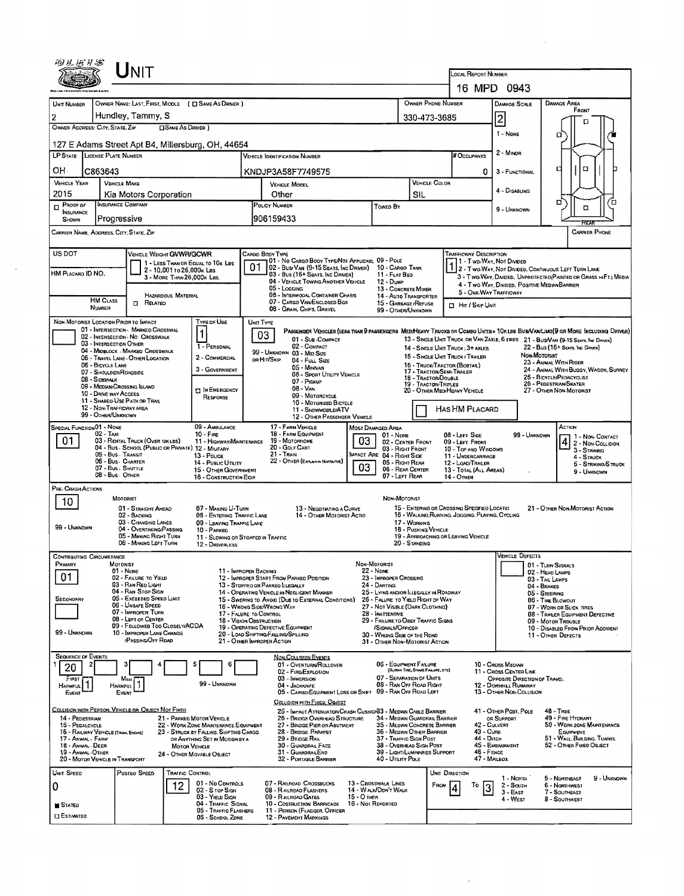| 16 MPD 0943<br>OWNER PHONE NUMBER<br>OWNER NAME: LAST, FIRST, MIDDLE ( C SAME AS DRIVER )<br>DAMAGE AREA<br><b>DAMAGE SCALE</b><br>FRONT<br>Hundley, Tammy, S<br>$\overline{2}$<br>330-473-3685<br>о<br>OWNER ADDRESS: CITY, STATE, ZIP<br><b>CISAME AS DRIVER</b> )<br>1 - Nove<br>ជ<br>2 - MINOR<br># OCCUPANTS<br><b>VEHICLE IDENTIFICATION NUMBER</b><br>۵<br>c<br>C863643<br>KNDJP3A58F7749575<br>0<br>3 - FUNCTIONAL<br><b>VEHICLE MAKE</b><br>VEHICLE COLOR<br>VEHICLE MODEL<br>4 - DISABLING<br>Other<br>SIL<br>Kia Motors Corporation<br>۵<br>้อ<br><b>INSURANCE COMPANY</b><br>POLICY NUMBER<br>Towed By<br>α<br>9 - UNKNOWN<br><b>INSURANCE</b><br>Progressive<br>906159433<br>SHOWN<br>ਸਿਟਨ<br><b>CARRIER PHONE</b><br>CARRIER NAME, ADDRESS, CITY, STATE, ZIP<br>TRAFFICWAY DESCRIPTION<br><b>VEHICLE WEIGHT GVWR/GCWR</b><br>CARGO BODY TYPE<br>01 - No CARGO BODY TYPE/NOT APPLICABL 09 - POLE<br>1 - Two-Way, Not Divided<br>1 - LESS THAN OR EQUAL TO 10K LBS<br>01<br>02 - Bus Van (9-15 Seats, Inc Driver)<br>10 - CARGO TANK<br>1 2 - Two-Way, Not Divideo, Continuous Left Turn Lane<br>2 - 10,001 to 26,000k Las<br>HM PLACARD ID NO.<br>03 - Bus (16+ Seats, Inc DRIVER)<br>11 - FLAT BED<br>3 - MORE THAN 26,000K LBS.<br>3 - Two-Way, Divided, Unprotected (Painted or Grass >4Ft.) Media<br>04 - VEHICLE TOWING ANOTHER VEHICLE<br>12 - Dump<br>4 - Two-Way, Divided, Positive Median Barrier<br>05 - Logging<br>13 - CONCRETE MIXER<br>5 - ONE-WAY TRAFFICWAY<br>06 - INTERMOOAL CONTAINER CHASIS<br>HAZARDOUS MATERIAL<br>14 - AUTO TRANSPORTER<br><b>HM CLASS</b><br>07 - CARGO VAN ENCLOSED BOX<br>$\Box$<br>RELATED<br>15 - GARBAGE /REFUSE<br><b>CL HIT / SKIP UNIT</b><br>NUMBER<br>08 - GRAIN, CHPS, GRAVEL<br>99 - OTHER/UNKNOWN<br>NON-MOTORIST LOCATION PRIOR TO IMPACT<br>TYPE OF USE<br><b>UNIT TYPE</b><br>01 - INTERSECTION - MARKED CROSSWAL<br>PASSENGER VEHICLES (LESS THAN 9 PASSENGERS MEDIMEANY TRUCKS OR COMBO UNITS > 10X LBS BUS/VAN/LIMO(9 OR MORE INCLUDING DRIVER)<br>$\mathbf{1}$<br>03<br>02 - INTERSECTION - NO CROSSWALK<br>01 - Sub-Compact<br>13 - SINGLE UNIT TRUCK OR VAN ZAXLE, 6 TIRES 21 - BUS/VAN (9-15 SEATS, INC DRIVER)<br>03 - INTERSECTION OTHER<br>1 - PERSONAL<br>02 - COMPACT<br>22 - Bus (15+ Seats, Inc Driver)<br>14 - SINGLE UNIT TRUCK: 3+ AXLES<br>04 - MIDBLOCK - MARKED CROSSWALK<br>99 - UNKNOWN 03 - MID SIZE<br>Non-Motorist<br>15 - SINGLE UNIT TRUCK! TRAILER<br>2 - COMMERCIAL<br>05 - TRAVEL LANE - OTHER LOCATION<br>on Hrt/Skip<br>04 - FULL SIZE<br>23 - ANIMAL WITH RIDER<br>06 - BICYCLE LANE<br>16 - TRUCK/TRACTOR (BOBTAR.)<br>05 - MINIVAN<br>3 - GOVERNMENT<br>17 - TRACTOR/SEMI-TRAILER<br>07 - Shoulder/Roadside<br>06 - SPORT UTILITY VEHICLE<br>25 - BICYCLE/PEDACYCLIST<br>18 - TRACTOR/DOUBLE<br>08 - Sidewalk<br>$07 - P_{ICKUP}$<br>26 - PEDESTRIAN/SKATER<br>19 - TRACTOR/TRIPLES<br>09 - MEDIAN/CROSSING ISLAND<br>$08 - V_{AM}$<br><b>DIN EMERGENCY</b><br>20 - OTHER MEDIHEAVY VEHICLE<br>27 - OTHER NON-MOTORIST<br>10 - DRIVE WAY ACCESS<br>09 - MOTORCYCLE<br>RESPONSE<br>11 - SHAREG-USE PATH OR TRAIL<br>10 - MOTORIZED BICYCLE<br>12 - NON-TRAFFICWAY AREA<br>HAS HM PLACARD<br>11 - SNOWMOBILE/ATV<br>99 - OTHER/UNKNOWN<br>12 - OTHER PASSENGER VEHICLE<br><b>U9 - AMBULANCE</b><br>17 - FARM VEHICLE<br><b>SPECIAL FUNCTION 01 - NONE</b><br>ACTION<br>MOST DAMAGED AREA<br>$02 - TAX$<br>18 - FARM EQUIPMENT<br>$10 -$ Fire<br>08 - LEFT SIDE<br>99 - UNKNOWN<br>$01 - None$<br>1 - Non-CONTACT<br>4 2 - Non-Collision<br>01<br>03<br>03 - RENTAL TRUCK (OVER 10KLBS)<br>19 - Мотояноме<br>11 - HIGHWAY/MAINTENANCE<br>02 - CENTER FRONT<br>09 - LEFT FRONT<br>04 - Bus - School (Public or Private) 12 - Military<br>20 - GOLF CART<br>03 - RIGHT FRONT<br>10 - TOP AND WINDOWS<br>3 - STRIKING<br>05 - Bus - Transit<br>21 - Tran<br>MPACT ARE 04 - RIGHT SIDE<br>13 - POLICE<br>11 - UNDERCARRIAGE<br>4 - STRUCK<br>06 - Bus. CHARTER<br>22 - OTHER (EXPLAN IN NARRATIVE)<br>05 - RIGHT REAR<br>14 - PUBLIC UTILITY<br>12 - LOAD/TRAILER<br>5 - STRIKING/STRUCK<br>03<br>07 - Bus - SHUTTLE<br>06 - REAR CENTER<br>13 - TOTAL (ALL AREAS)<br>15 - OTHER GOVERNMENT<br>9 - UNKNOWN<br>08 - Bus - OTHER<br>07 - LEFT REAR<br>16 - CONSTRUCTION EQIP.<br>14 - OTHER<br>PRE-CRASH ACTIONS<br>MOTORIST<br>NON-MOTORIST<br>10<br>15 - ENTERING OR CROSSING SPECIFIED LOCATIO<br>07 - MAKINO U-TURN<br>21 - OTHER NON-MOTORIST ACTION<br>01 - STRAIGHT AHEAD<br>13 - Negotiating a Curve<br>16 - WALKING, RUNNING, JOGGING, PLAYING, CYCLING<br>02 - BACKING<br>08 - ENTERING TRAFFIC LANE<br>14 - Other Motorist Actio<br>03 - CHANGING LANES<br>09 - LEAVING TRAFFIC LANE<br>17 - WORKING<br>99 - UNKNOWN<br>04 - OVERTAKING/PASSING<br>18 - PUSHING VEHICLE<br>10 - PARKED<br>05 - MAKING RIGHT TURN<br>19 - APPROACHING OR LEAVING VEHICLE<br>11 - SLOWING OR STOPPED IN TRAFFIC<br>06 - MAKING LEFT TURN<br>20 - STANDING<br>12 - DRIVERLESS<br>Vehicle Defects<br><b>CONTRIBUTING CIRCUMSTANCE</b><br>NON-MOTORIST<br>MOTORIST<br>01 - TURN SIGNALS<br>22 - None<br>01 - None<br>11 - IMPROPER BACKING<br>02 - HEAO LAMPS<br>01<br>02 - FAILURE TO YIELD<br>12 - IMPROPER START FROM PARKED POSITION<br>23 - IMPROPER CROSSING<br>03 - TAIL LAMPS<br>03 - RAN RED LIGHT<br>13 - STOPPED OR PARKEO LLEGALLY<br>24 - DARTING<br>04 - BRAKES<br>04 - Ran Stop Sign<br>14 - OPERATING VEHICLE IN NEGLIGENT MANNER<br>25 - LYING AND/OR ILLEGALLY IN ROADWAY<br>05 - STEERING<br>05 - Exceeded Speed Limit<br>15 - Swering to Avoid (DUE TO EXTERNAL CONDITIONS)<br>26 - FALURE TO YIELD RIGHT OF WAY<br>06 - TIRE BLOWDUT<br>06 - Unsafe Speed<br>16 - WRONG SIDE/WRONG WAY<br>27 - NOT VISIBLE (DARK CLOTHING)<br>07 - WORN OR SLICK TIRES<br>07 - Improper Turn<br>17 - FALURE TO CONTROL<br>28 - INATTENTIVE<br>08 - TRAILER EQUIPMENT DEFECTIVE<br>08 - LEFT OF CENTER<br>18 - VISION OBSTRUCTION<br>29 - FAILURE TO OBEY TRAFFIC SIGNS<br>09 - MOTOR TROUBLE<br>09 - FOLLOWED TOO CLOSELY/ACDA<br>19 - OPERATING DEFECTIVE EQUIPMENT<br>/SIGNALS/OFFICER<br>10 - DISABLED FROM PRIOR ACCIOENT<br>10 - IMPROPER LANE CHANGE<br>20 - LOAD SHIFTING/FALLING/SPILLING<br>30 - WRDNG SIDE OF THE ROAD<br>11 - OTHER DEFECTS<br><b>PASSING/OFF ROAD</b><br>21 - OTHER IMPROPER ACTION<br>31 - OTHER NON-MOTORIST ACTION<br><b>SEQUENCE OF EVENTS</b><br><b>NON-COLLISION EVENTS</b><br>06 - EQUIPMENT FAILURE<br>10 - Cross Median<br>6<br>01 - OVERTURN/ROLLOVER<br>20<br>(BLOWN TIRE, BRAKE FAILURE, ETC)<br>11 - Cross CENTER LINE<br>02 - FIRE/EXPLOSION<br>07 - SEPARATION OF UNITS<br>03 - IMMERSION<br>OPPOSITE DIRECTION OF TRAVEL<br>FIRST,<br>Most I<br>HARMFUL <sup>1</sup><br>99 - UNKNOWN<br>08 - RAN OFF ROAD RIGHT<br>04 - JACKKNIFE<br>12 - DOWNHEL RUNAWAY<br>HARMFUL<br>09 - RAN OFF ROAD LEFT<br>05 - CARGO/EQUIPMENT LOSS OR SHIFT<br>13 - OTHER NON-COLLISION<br>EVENT<br>EVENT<br><b>COLLISION WITH FIXED, OBJECT</b><br>COLLISION WITH PERSON, VEHICLE OR OBJECT NOT FIXED<br>25 - IMPACT ATTENUATOR/CRASH CUSHION33 - MEDIAN CABLE BARRIER<br>41 - OTHER POST, POLE<br><b>48 - TREE</b><br>49 - FIRE HYDRANT<br>14 - PEDESTRIAN<br>21 - PARKED MOTOR VEHICLE<br>34 - MEDIAN GUARDRAIL BARRIER<br>26 - BRIDGE OVERHEAD STRUCTURE<br>OR SUPPORT<br>42 - CULVERT<br>50 - WORK ZONE MAINTENANCE<br>22 - WORK ZONE MAINTENANCE EQUIPMENT<br>27 - BRIDGE PIER OR ABUTMENT<br>35 - Median Concrete Barrier<br>15 - PEDALCYCLE<br>36 - MEDIAN OTHER BARRIER<br>28 - BRIDGE PARAPET<br>43 - Curs<br>16 - RAILWAY VEHICLE [TRAIN, ENGINE]<br>23 - STRUCK BY FALLING, SHIFTING CARGO<br>EQUIPMENT<br>44 - Опсн<br>51 - WALL, BUILDING, TUNNEL<br>37 - TRAFFIC SIGN POST<br>17 - Animal - Farm<br>OR ANYTHING SET IN MOTION BY A<br>29 - BROGE RAIL<br>38 - Overhead Sign Post<br>45 - Embankment<br>52 - OTHER FIXED OBJECT<br>18 - Animal - Deer<br>30 - GUARDRAIL FACE<br><b>MOTOR VEHICLE</b><br>46 - FENCE<br>19 - ANIMAL OTHER<br>31 - GUARDRAILEND<br>39 - Light/Luminaries Support<br>24 - OTHER MOVABLE OBJECT<br>47 - MAILBOX<br>20 - MOTOR VEHICLE IN TRANSPORT<br>32 - PORTABLE BARRIER<br>40 - UTILITY POLE<br>Posteo Speed<br><b>TRAFFIC CONTROL</b><br>UNIT DIRECTION<br>1 - NORTH<br>5 - NORTHEAST<br>01 - No CONTROLS<br>07 - RALROAD CROSSBUCKS<br>13 - CROSSWALK LINES<br>12<br>Τо<br>6 - NORTHWEST<br>FROM<br>2 - South<br>3<br>14 - WALK/DON'T WALK<br>02 - S rop Sign<br>08 - RAILROAD FLASHERS<br>$3 - EAST$<br>7 - SOUTHEAST<br>15 - О тнев<br>03 - Yield Sign<br>09 - RAILROAD GATES<br>4 - West<br>8 - SOUTHWEST<br>04 - TRAFFIC SIGNAL<br>10 - COSTRUCTION BARRICADE<br>16 - Not Reported<br>05 - TRAFFIC FLASHERS<br>11 - PERSON (FLAGGER, OFFICER<br><b>ESTIMATED</b><br>06 - SCHOOL ZONE<br>12 - PAVEMENT MARKINGS | 咽丛医#\$                        |                                                   | NIT |  |  |  |  |  |  |  |  |                     |  |                                       |             |  |
|----------------------------------------------------------------------------------------------------------------------------------------------------------------------------------------------------------------------------------------------------------------------------------------------------------------------------------------------------------------------------------------------------------------------------------------------------------------------------------------------------------------------------------------------------------------------------------------------------------------------------------------------------------------------------------------------------------------------------------------------------------------------------------------------------------------------------------------------------------------------------------------------------------------------------------------------------------------------------------------------------------------------------------------------------------------------------------------------------------------------------------------------------------------------------------------------------------------------------------------------------------------------------------------------------------------------------------------------------------------------------------------------------------------------------------------------------------------------------------------------------------------------------------------------------------------------------------------------------------------------------------------------------------------------------------------------------------------------------------------------------------------------------------------------------------------------------------------------------------------------------------------------------------------------------------------------------------------------------------------------------------------------------------------------------------------------------------------------------------------------------------------------------------------------------------------------------------------------------------------------------------------------------------------------------------------------------------------------------------------------------------------------------------------------------------------------------------------------------------------------------------------------------------------------------------------------------------------------------------------------------------------------------------------------------------------------------------------------------------------------------------------------------------------------------------------------------------------------------------------------------------------------------------------------------------------------------------------------------------------------------------------------------------------------------------------------------------------------------------------------------------------------------------------------------------------------------------------------------------------------------------------------------------------------------------------------------------------------------------------------------------------------------------------------------------------------------------------------------------------------------------------------------------------------------------------------------------------------------------------------------------------------------------------------------------------------------------------------------------------------------------------------------------------------------------------------------------------------------------------------------------------------------------------------------------------------------------------------------------------------------------------------------------------------------------------------------------------------------------------------------------------------------------------------------------------------------------------------------------------------------------------------------------------------------------------------------------------------------------------------------------------------------------------------------------------------------------------------------------------------------------------------------------------------------------------------------------------------------------------------------------------------------------------------------------------------------------------------------------------------------------------------------------------------------------------------------------------------------------------------------------------------------------------------------------------------------------------------------------------------------------------------------------------------------------------------------------------------------------------------------------------------------------------------------------------------------------------------------------------------------------------------------------------------------------------------------------------------------------------------------------------------------------------------------------------------------------------------------------------------------------------------------------------------------------------------------------------------------------------------------------------------------------------------------------------------------------------------------------------------------------------------------------------------------------------------------------------------------------------------------------------------------------------------------------------------------------------------------------------------------------------------------------------------------------------------------------------------------------------------------------------------------------------------------------------------------------------------------------------------------------------------------------------------------------------------------------------------------------------------------------------------------------------------------------------------------------------------------------------------------------------------------------------------------------------------------------------------------------------------------------------------------------------------------------------------------------------------------------------------------------------------------------------------------------------------------------------------------------------------------------------------------------------------------------------------------------------------------------------------------------------------------------------------------------------------------------------------------------------------------------------------------------------------------------------------------------------------------------------------------------------------------------------------------------------------------------------------------------------------------------------------------------------------------------------------------------------------------------------------------------------------------------------------------------------------------------------------------------------------------------------------------------------------------------------------------------------------------------------------------------------------------------------------------------------------------------------------------------------------------------------------------------------------------------------------------------------------------------------------------------------------------------------------------------------------------------------------------------------------------------------------------------------------------------------------------------------------------------------------------------------------------------------------------------------------------------------------------------------------------------------------------------------------------------------------------------------------------------------------------------------------------------------------------------------------------------------------------------------------------------------------------------------------------------------------------------------------------------------------------------------------------------|-------------------------------|---------------------------------------------------|-----|--|--|--|--|--|--|--|--|---------------------|--|---------------------------------------|-------------|--|
|                                                                                                                                                                                                                                                                                                                                                                                                                                                                                                                                                                                                                                                                                                                                                                                                                                                                                                                                                                                                                                                                                                                                                                                                                                                                                                                                                                                                                                                                                                                                                                                                                                                                                                                                                                                                                                                                                                                                                                                                                                                                                                                                                                                                                                                                                                                                                                                                                                                                                                                                                                                                                                                                                                                                                                                                                                                                                                                                                                                                                                                                                                                                                                                                                                                                                                                                                                                                                                                                                                                                                                                                                                                                                                                                                                                                                                                                                                                                                                                                                                                                                                                                                                                                                                                                                                                                                                                                                                                                                                                                                                                                                                                                                                                                                                                                                                                                                                                                                                                                                                                                                                                                                                                                                                                                                                                                                                                                                                                                                                                                                                                                                                                                                                                                                                                                                                                                                                                                                                                                                                                                                                                                                                                                                                                                                                                                                                                                                                                                                                                                                                                                                                                                                                                                                                                                                                                                                                                                                                                                                                                                                                                                                                                                                                                                                                                                                                                                                                                                                                                                                                                                                                                                                                                                                                                                                                                                                                                                                                                                                                                                                                                                                                                                                                                                                                                                                                                                                                                                                                                                                                                                                                                                                                                                                                                  |                               |                                                   |     |  |  |  |  |  |  |  |  | LOCAL REPORT NUMBER |  |                                       |             |  |
|                                                                                                                                                                                                                                                                                                                                                                                                                                                                                                                                                                                                                                                                                                                                                                                                                                                                                                                                                                                                                                                                                                                                                                                                                                                                                                                                                                                                                                                                                                                                                                                                                                                                                                                                                                                                                                                                                                                                                                                                                                                                                                                                                                                                                                                                                                                                                                                                                                                                                                                                                                                                                                                                                                                                                                                                                                                                                                                                                                                                                                                                                                                                                                                                                                                                                                                                                                                                                                                                                                                                                                                                                                                                                                                                                                                                                                                                                                                                                                                                                                                                                                                                                                                                                                                                                                                                                                                                                                                                                                                                                                                                                                                                                                                                                                                                                                                                                                                                                                                                                                                                                                                                                                                                                                                                                                                                                                                                                                                                                                                                                                                                                                                                                                                                                                                                                                                                                                                                                                                                                                                                                                                                                                                                                                                                                                                                                                                                                                                                                                                                                                                                                                                                                                                                                                                                                                                                                                                                                                                                                                                                                                                                                                                                                                                                                                                                                                                                                                                                                                                                                                                                                                                                                                                                                                                                                                                                                                                                                                                                                                                                                                                                                                                                                                                                                                                                                                                                                                                                                                                                                                                                                                                                                                                                                                                  | UNIT NUMBER                   |                                                   |     |  |  |  |  |  |  |  |  |                     |  |                                       |             |  |
|                                                                                                                                                                                                                                                                                                                                                                                                                                                                                                                                                                                                                                                                                                                                                                                                                                                                                                                                                                                                                                                                                                                                                                                                                                                                                                                                                                                                                                                                                                                                                                                                                                                                                                                                                                                                                                                                                                                                                                                                                                                                                                                                                                                                                                                                                                                                                                                                                                                                                                                                                                                                                                                                                                                                                                                                                                                                                                                                                                                                                                                                                                                                                                                                                                                                                                                                                                                                                                                                                                                                                                                                                                                                                                                                                                                                                                                                                                                                                                                                                                                                                                                                                                                                                                                                                                                                                                                                                                                                                                                                                                                                                                                                                                                                                                                                                                                                                                                                                                                                                                                                                                                                                                                                                                                                                                                                                                                                                                                                                                                                                                                                                                                                                                                                                                                                                                                                                                                                                                                                                                                                                                                                                                                                                                                                                                                                                                                                                                                                                                                                                                                                                                                                                                                                                                                                                                                                                                                                                                                                                                                                                                                                                                                                                                                                                                                                                                                                                                                                                                                                                                                                                                                                                                                                                                                                                                                                                                                                                                                                                                                                                                                                                                                                                                                                                                                                                                                                                                                                                                                                                                                                                                                                                                                                                                                  | 2                             |                                                   |     |  |  |  |  |  |  |  |  |                     |  |                                       |             |  |
|                                                                                                                                                                                                                                                                                                                                                                                                                                                                                                                                                                                                                                                                                                                                                                                                                                                                                                                                                                                                                                                                                                                                                                                                                                                                                                                                                                                                                                                                                                                                                                                                                                                                                                                                                                                                                                                                                                                                                                                                                                                                                                                                                                                                                                                                                                                                                                                                                                                                                                                                                                                                                                                                                                                                                                                                                                                                                                                                                                                                                                                                                                                                                                                                                                                                                                                                                                                                                                                                                                                                                                                                                                                                                                                                                                                                                                                                                                                                                                                                                                                                                                                                                                                                                                                                                                                                                                                                                                                                                                                                                                                                                                                                                                                                                                                                                                                                                                                                                                                                                                                                                                                                                                                                                                                                                                                                                                                                                                                                                                                                                                                                                                                                                                                                                                                                                                                                                                                                                                                                                                                                                                                                                                                                                                                                                                                                                                                                                                                                                                                                                                                                                                                                                                                                                                                                                                                                                                                                                                                                                                                                                                                                                                                                                                                                                                                                                                                                                                                                                                                                                                                                                                                                                                                                                                                                                                                                                                                                                                                                                                                                                                                                                                                                                                                                                                                                                                                                                                                                                                                                                                                                                                                                                                                                                                                  |                               |                                                   |     |  |  |  |  |  |  |  |  |                     |  |                                       |             |  |
|                                                                                                                                                                                                                                                                                                                                                                                                                                                                                                                                                                                                                                                                                                                                                                                                                                                                                                                                                                                                                                                                                                                                                                                                                                                                                                                                                                                                                                                                                                                                                                                                                                                                                                                                                                                                                                                                                                                                                                                                                                                                                                                                                                                                                                                                                                                                                                                                                                                                                                                                                                                                                                                                                                                                                                                                                                                                                                                                                                                                                                                                                                                                                                                                                                                                                                                                                                                                                                                                                                                                                                                                                                                                                                                                                                                                                                                                                                                                                                                                                                                                                                                                                                                                                                                                                                                                                                                                                                                                                                                                                                                                                                                                                                                                                                                                                                                                                                                                                                                                                                                                                                                                                                                                                                                                                                                                                                                                                                                                                                                                                                                                                                                                                                                                                                                                                                                                                                                                                                                                                                                                                                                                                                                                                                                                                                                                                                                                                                                                                                                                                                                                                                                                                                                                                                                                                                                                                                                                                                                                                                                                                                                                                                                                                                                                                                                                                                                                                                                                                                                                                                                                                                                                                                                                                                                                                                                                                                                                                                                                                                                                                                                                                                                                                                                                                                                                                                                                                                                                                                                                                                                                                                                                                                                                                                                  |                               | 127 E Adams Street Apt B4, Millersburg, OH, 44654 |     |  |  |  |  |  |  |  |  |                     |  |                                       |             |  |
|                                                                                                                                                                                                                                                                                                                                                                                                                                                                                                                                                                                                                                                                                                                                                                                                                                                                                                                                                                                                                                                                                                                                                                                                                                                                                                                                                                                                                                                                                                                                                                                                                                                                                                                                                                                                                                                                                                                                                                                                                                                                                                                                                                                                                                                                                                                                                                                                                                                                                                                                                                                                                                                                                                                                                                                                                                                                                                                                                                                                                                                                                                                                                                                                                                                                                                                                                                                                                                                                                                                                                                                                                                                                                                                                                                                                                                                                                                                                                                                                                                                                                                                                                                                                                                                                                                                                                                                                                                                                                                                                                                                                                                                                                                                                                                                                                                                                                                                                                                                                                                                                                                                                                                                                                                                                                                                                                                                                                                                                                                                                                                                                                                                                                                                                                                                                                                                                                                                                                                                                                                                                                                                                                                                                                                                                                                                                                                                                                                                                                                                                                                                                                                                                                                                                                                                                                                                                                                                                                                                                                                                                                                                                                                                                                                                                                                                                                                                                                                                                                                                                                                                                                                                                                                                                                                                                                                                                                                                                                                                                                                                                                                                                                                                                                                                                                                                                                                                                                                                                                                                                                                                                                                                                                                                                                                                  | LP STATE LICENSE PLATE NUMBER |                                                   |     |  |  |  |  |  |  |  |  |                     |  |                                       |             |  |
|                                                                                                                                                                                                                                                                                                                                                                                                                                                                                                                                                                                                                                                                                                                                                                                                                                                                                                                                                                                                                                                                                                                                                                                                                                                                                                                                                                                                                                                                                                                                                                                                                                                                                                                                                                                                                                                                                                                                                                                                                                                                                                                                                                                                                                                                                                                                                                                                                                                                                                                                                                                                                                                                                                                                                                                                                                                                                                                                                                                                                                                                                                                                                                                                                                                                                                                                                                                                                                                                                                                                                                                                                                                                                                                                                                                                                                                                                                                                                                                                                                                                                                                                                                                                                                                                                                                                                                                                                                                                                                                                                                                                                                                                                                                                                                                                                                                                                                                                                                                                                                                                                                                                                                                                                                                                                                                                                                                                                                                                                                                                                                                                                                                                                                                                                                                                                                                                                                                                                                                                                                                                                                                                                                                                                                                                                                                                                                                                                                                                                                                                                                                                                                                                                                                                                                                                                                                                                                                                                                                                                                                                                                                                                                                                                                                                                                                                                                                                                                                                                                                                                                                                                                                                                                                                                                                                                                                                                                                                                                                                                                                                                                                                                                                                                                                                                                                                                                                                                                                                                                                                                                                                                                                                                                                                                                                  | OH.                           |                                                   |     |  |  |  |  |  |  |  |  |                     |  |                                       |             |  |
|                                                                                                                                                                                                                                                                                                                                                                                                                                                                                                                                                                                                                                                                                                                                                                                                                                                                                                                                                                                                                                                                                                                                                                                                                                                                                                                                                                                                                                                                                                                                                                                                                                                                                                                                                                                                                                                                                                                                                                                                                                                                                                                                                                                                                                                                                                                                                                                                                                                                                                                                                                                                                                                                                                                                                                                                                                                                                                                                                                                                                                                                                                                                                                                                                                                                                                                                                                                                                                                                                                                                                                                                                                                                                                                                                                                                                                                                                                                                                                                                                                                                                                                                                                                                                                                                                                                                                                                                                                                                                                                                                                                                                                                                                                                                                                                                                                                                                                                                                                                                                                                                                                                                                                                                                                                                                                                                                                                                                                                                                                                                                                                                                                                                                                                                                                                                                                                                                                                                                                                                                                                                                                                                                                                                                                                                                                                                                                                                                                                                                                                                                                                                                                                                                                                                                                                                                                                                                                                                                                                                                                                                                                                                                                                                                                                                                                                                                                                                                                                                                                                                                                                                                                                                                                                                                                                                                                                                                                                                                                                                                                                                                                                                                                                                                                                                                                                                                                                                                                                                                                                                                                                                                                                                                                                                                                                  | <b>VEHICLE YEAR</b>           |                                                   |     |  |  |  |  |  |  |  |  |                     |  |                                       |             |  |
|                                                                                                                                                                                                                                                                                                                                                                                                                                                                                                                                                                                                                                                                                                                                                                                                                                                                                                                                                                                                                                                                                                                                                                                                                                                                                                                                                                                                                                                                                                                                                                                                                                                                                                                                                                                                                                                                                                                                                                                                                                                                                                                                                                                                                                                                                                                                                                                                                                                                                                                                                                                                                                                                                                                                                                                                                                                                                                                                                                                                                                                                                                                                                                                                                                                                                                                                                                                                                                                                                                                                                                                                                                                                                                                                                                                                                                                                                                                                                                                                                                                                                                                                                                                                                                                                                                                                                                                                                                                                                                                                                                                                                                                                                                                                                                                                                                                                                                                                                                                                                                                                                                                                                                                                                                                                                                                                                                                                                                                                                                                                                                                                                                                                                                                                                                                                                                                                                                                                                                                                                                                                                                                                                                                                                                                                                                                                                                                                                                                                                                                                                                                                                                                                                                                                                                                                                                                                                                                                                                                                                                                                                                                                                                                                                                                                                                                                                                                                                                                                                                                                                                                                                                                                                                                                                                                                                                                                                                                                                                                                                                                                                                                                                                                                                                                                                                                                                                                                                                                                                                                                                                                                                                                                                                                                                                                  | 2015                          |                                                   |     |  |  |  |  |  |  |  |  |                     |  |                                       |             |  |
|                                                                                                                                                                                                                                                                                                                                                                                                                                                                                                                                                                                                                                                                                                                                                                                                                                                                                                                                                                                                                                                                                                                                                                                                                                                                                                                                                                                                                                                                                                                                                                                                                                                                                                                                                                                                                                                                                                                                                                                                                                                                                                                                                                                                                                                                                                                                                                                                                                                                                                                                                                                                                                                                                                                                                                                                                                                                                                                                                                                                                                                                                                                                                                                                                                                                                                                                                                                                                                                                                                                                                                                                                                                                                                                                                                                                                                                                                                                                                                                                                                                                                                                                                                                                                                                                                                                                                                                                                                                                                                                                                                                                                                                                                                                                                                                                                                                                                                                                                                                                                                                                                                                                                                                                                                                                                                                                                                                                                                                                                                                                                                                                                                                                                                                                                                                                                                                                                                                                                                                                                                                                                                                                                                                                                                                                                                                                                                                                                                                                                                                                                                                                                                                                                                                                                                                                                                                                                                                                                                                                                                                                                                                                                                                                                                                                                                                                                                                                                                                                                                                                                                                                                                                                                                                                                                                                                                                                                                                                                                                                                                                                                                                                                                                                                                                                                                                                                                                                                                                                                                                                                                                                                                                                                                                                                                                  | $P_{\text{ROOF OF}}$          |                                                   |     |  |  |  |  |  |  |  |  |                     |  |                                       |             |  |
|                                                                                                                                                                                                                                                                                                                                                                                                                                                                                                                                                                                                                                                                                                                                                                                                                                                                                                                                                                                                                                                                                                                                                                                                                                                                                                                                                                                                                                                                                                                                                                                                                                                                                                                                                                                                                                                                                                                                                                                                                                                                                                                                                                                                                                                                                                                                                                                                                                                                                                                                                                                                                                                                                                                                                                                                                                                                                                                                                                                                                                                                                                                                                                                                                                                                                                                                                                                                                                                                                                                                                                                                                                                                                                                                                                                                                                                                                                                                                                                                                                                                                                                                                                                                                                                                                                                                                                                                                                                                                                                                                                                                                                                                                                                                                                                                                                                                                                                                                                                                                                                                                                                                                                                                                                                                                                                                                                                                                                                                                                                                                                                                                                                                                                                                                                                                                                                                                                                                                                                                                                                                                                                                                                                                                                                                                                                                                                                                                                                                                                                                                                                                                                                                                                                                                                                                                                                                                                                                                                                                                                                                                                                                                                                                                                                                                                                                                                                                                                                                                                                                                                                                                                                                                                                                                                                                                                                                                                                                                                                                                                                                                                                                                                                                                                                                                                                                                                                                                                                                                                                                                                                                                                                                                                                                                                                  |                               |                                                   |     |  |  |  |  |  |  |  |  |                     |  |                                       |             |  |
|                                                                                                                                                                                                                                                                                                                                                                                                                                                                                                                                                                                                                                                                                                                                                                                                                                                                                                                                                                                                                                                                                                                                                                                                                                                                                                                                                                                                                                                                                                                                                                                                                                                                                                                                                                                                                                                                                                                                                                                                                                                                                                                                                                                                                                                                                                                                                                                                                                                                                                                                                                                                                                                                                                                                                                                                                                                                                                                                                                                                                                                                                                                                                                                                                                                                                                                                                                                                                                                                                                                                                                                                                                                                                                                                                                                                                                                                                                                                                                                                                                                                                                                                                                                                                                                                                                                                                                                                                                                                                                                                                                                                                                                                                                                                                                                                                                                                                                                                                                                                                                                                                                                                                                                                                                                                                                                                                                                                                                                                                                                                                                                                                                                                                                                                                                                                                                                                                                                                                                                                                                                                                                                                                                                                                                                                                                                                                                                                                                                                                                                                                                                                                                                                                                                                                                                                                                                                                                                                                                                                                                                                                                                                                                                                                                                                                                                                                                                                                                                                                                                                                                                                                                                                                                                                                                                                                                                                                                                                                                                                                                                                                                                                                                                                                                                                                                                                                                                                                                                                                                                                                                                                                                                                                                                                                                                  |                               |                                                   |     |  |  |  |  |  |  |  |  |                     |  |                                       |             |  |
|                                                                                                                                                                                                                                                                                                                                                                                                                                                                                                                                                                                                                                                                                                                                                                                                                                                                                                                                                                                                                                                                                                                                                                                                                                                                                                                                                                                                                                                                                                                                                                                                                                                                                                                                                                                                                                                                                                                                                                                                                                                                                                                                                                                                                                                                                                                                                                                                                                                                                                                                                                                                                                                                                                                                                                                                                                                                                                                                                                                                                                                                                                                                                                                                                                                                                                                                                                                                                                                                                                                                                                                                                                                                                                                                                                                                                                                                                                                                                                                                                                                                                                                                                                                                                                                                                                                                                                                                                                                                                                                                                                                                                                                                                                                                                                                                                                                                                                                                                                                                                                                                                                                                                                                                                                                                                                                                                                                                                                                                                                                                                                                                                                                                                                                                                                                                                                                                                                                                                                                                                                                                                                                                                                                                                                                                                                                                                                                                                                                                                                                                                                                                                                                                                                                                                                                                                                                                                                                                                                                                                                                                                                                                                                                                                                                                                                                                                                                                                                                                                                                                                                                                                                                                                                                                                                                                                                                                                                                                                                                                                                                                                                                                                                                                                                                                                                                                                                                                                                                                                                                                                                                                                                                                                                                                                                                  | US DOT                        |                                                   |     |  |  |  |  |  |  |  |  |                     |  |                                       |             |  |
|                                                                                                                                                                                                                                                                                                                                                                                                                                                                                                                                                                                                                                                                                                                                                                                                                                                                                                                                                                                                                                                                                                                                                                                                                                                                                                                                                                                                                                                                                                                                                                                                                                                                                                                                                                                                                                                                                                                                                                                                                                                                                                                                                                                                                                                                                                                                                                                                                                                                                                                                                                                                                                                                                                                                                                                                                                                                                                                                                                                                                                                                                                                                                                                                                                                                                                                                                                                                                                                                                                                                                                                                                                                                                                                                                                                                                                                                                                                                                                                                                                                                                                                                                                                                                                                                                                                                                                                                                                                                                                                                                                                                                                                                                                                                                                                                                                                                                                                                                                                                                                                                                                                                                                                                                                                                                                                                                                                                                                                                                                                                                                                                                                                                                                                                                                                                                                                                                                                                                                                                                                                                                                                                                                                                                                                                                                                                                                                                                                                                                                                                                                                                                                                                                                                                                                                                                                                                                                                                                                                                                                                                                                                                                                                                                                                                                                                                                                                                                                                                                                                                                                                                                                                                                                                                                                                                                                                                                                                                                                                                                                                                                                                                                                                                                                                                                                                                                                                                                                                                                                                                                                                                                                                                                                                                                                                  |                               |                                                   |     |  |  |  |  |  |  |  |  |                     |  |                                       |             |  |
|                                                                                                                                                                                                                                                                                                                                                                                                                                                                                                                                                                                                                                                                                                                                                                                                                                                                                                                                                                                                                                                                                                                                                                                                                                                                                                                                                                                                                                                                                                                                                                                                                                                                                                                                                                                                                                                                                                                                                                                                                                                                                                                                                                                                                                                                                                                                                                                                                                                                                                                                                                                                                                                                                                                                                                                                                                                                                                                                                                                                                                                                                                                                                                                                                                                                                                                                                                                                                                                                                                                                                                                                                                                                                                                                                                                                                                                                                                                                                                                                                                                                                                                                                                                                                                                                                                                                                                                                                                                                                                                                                                                                                                                                                                                                                                                                                                                                                                                                                                                                                                                                                                                                                                                                                                                                                                                                                                                                                                                                                                                                                                                                                                                                                                                                                                                                                                                                                                                                                                                                                                                                                                                                                                                                                                                                                                                                                                                                                                                                                                                                                                                                                                                                                                                                                                                                                                                                                                                                                                                                                                                                                                                                                                                                                                                                                                                                                                                                                                                                                                                                                                                                                                                                                                                                                                                                                                                                                                                                                                                                                                                                                                                                                                                                                                                                                                                                                                                                                                                                                                                                                                                                                                                                                                                                                                                  |                               |                                                   |     |  |  |  |  |  |  |  |  |                     |  |                                       |             |  |
|                                                                                                                                                                                                                                                                                                                                                                                                                                                                                                                                                                                                                                                                                                                                                                                                                                                                                                                                                                                                                                                                                                                                                                                                                                                                                                                                                                                                                                                                                                                                                                                                                                                                                                                                                                                                                                                                                                                                                                                                                                                                                                                                                                                                                                                                                                                                                                                                                                                                                                                                                                                                                                                                                                                                                                                                                                                                                                                                                                                                                                                                                                                                                                                                                                                                                                                                                                                                                                                                                                                                                                                                                                                                                                                                                                                                                                                                                                                                                                                                                                                                                                                                                                                                                                                                                                                                                                                                                                                                                                                                                                                                                                                                                                                                                                                                                                                                                                                                                                                                                                                                                                                                                                                                                                                                                                                                                                                                                                                                                                                                                                                                                                                                                                                                                                                                                                                                                                                                                                                                                                                                                                                                                                                                                                                                                                                                                                                                                                                                                                                                                                                                                                                                                                                                                                                                                                                                                                                                                                                                                                                                                                                                                                                                                                                                                                                                                                                                                                                                                                                                                                                                                                                                                                                                                                                                                                                                                                                                                                                                                                                                                                                                                                                                                                                                                                                                                                                                                                                                                                                                                                                                                                                                                                                                                                                  |                               |                                                   |     |  |  |  |  |  |  |  |  |                     |  |                                       |             |  |
|                                                                                                                                                                                                                                                                                                                                                                                                                                                                                                                                                                                                                                                                                                                                                                                                                                                                                                                                                                                                                                                                                                                                                                                                                                                                                                                                                                                                                                                                                                                                                                                                                                                                                                                                                                                                                                                                                                                                                                                                                                                                                                                                                                                                                                                                                                                                                                                                                                                                                                                                                                                                                                                                                                                                                                                                                                                                                                                                                                                                                                                                                                                                                                                                                                                                                                                                                                                                                                                                                                                                                                                                                                                                                                                                                                                                                                                                                                                                                                                                                                                                                                                                                                                                                                                                                                                                                                                                                                                                                                                                                                                                                                                                                                                                                                                                                                                                                                                                                                                                                                                                                                                                                                                                                                                                                                                                                                                                                                                                                                                                                                                                                                                                                                                                                                                                                                                                                                                                                                                                                                                                                                                                                                                                                                                                                                                                                                                                                                                                                                                                                                                                                                                                                                                                                                                                                                                                                                                                                                                                                                                                                                                                                                                                                                                                                                                                                                                                                                                                                                                                                                                                                                                                                                                                                                                                                                                                                                                                                                                                                                                                                                                                                                                                                                                                                                                                                                                                                                                                                                                                                                                                                                                                                                                                                                                  |                               |                                                   |     |  |  |  |  |  |  |  |  |                     |  |                                       |             |  |
|                                                                                                                                                                                                                                                                                                                                                                                                                                                                                                                                                                                                                                                                                                                                                                                                                                                                                                                                                                                                                                                                                                                                                                                                                                                                                                                                                                                                                                                                                                                                                                                                                                                                                                                                                                                                                                                                                                                                                                                                                                                                                                                                                                                                                                                                                                                                                                                                                                                                                                                                                                                                                                                                                                                                                                                                                                                                                                                                                                                                                                                                                                                                                                                                                                                                                                                                                                                                                                                                                                                                                                                                                                                                                                                                                                                                                                                                                                                                                                                                                                                                                                                                                                                                                                                                                                                                                                                                                                                                                                                                                                                                                                                                                                                                                                                                                                                                                                                                                                                                                                                                                                                                                                                                                                                                                                                                                                                                                                                                                                                                                                                                                                                                                                                                                                                                                                                                                                                                                                                                                                                                                                                                                                                                                                                                                                                                                                                                                                                                                                                                                                                                                                                                                                                                                                                                                                                                                                                                                                                                                                                                                                                                                                                                                                                                                                                                                                                                                                                                                                                                                                                                                                                                                                                                                                                                                                                                                                                                                                                                                                                                                                                                                                                                                                                                                                                                                                                                                                                                                                                                                                                                                                                                                                                                                                                  |                               |                                                   |     |  |  |  |  |  |  |  |  |                     |  |                                       |             |  |
|                                                                                                                                                                                                                                                                                                                                                                                                                                                                                                                                                                                                                                                                                                                                                                                                                                                                                                                                                                                                                                                                                                                                                                                                                                                                                                                                                                                                                                                                                                                                                                                                                                                                                                                                                                                                                                                                                                                                                                                                                                                                                                                                                                                                                                                                                                                                                                                                                                                                                                                                                                                                                                                                                                                                                                                                                                                                                                                                                                                                                                                                                                                                                                                                                                                                                                                                                                                                                                                                                                                                                                                                                                                                                                                                                                                                                                                                                                                                                                                                                                                                                                                                                                                                                                                                                                                                                                                                                                                                                                                                                                                                                                                                                                                                                                                                                                                                                                                                                                                                                                                                                                                                                                                                                                                                                                                                                                                                                                                                                                                                                                                                                                                                                                                                                                                                                                                                                                                                                                                                                                                                                                                                                                                                                                                                                                                                                                                                                                                                                                                                                                                                                                                                                                                                                                                                                                                                                                                                                                                                                                                                                                                                                                                                                                                                                                                                                                                                                                                                                                                                                                                                                                                                                                                                                                                                                                                                                                                                                                                                                                                                                                                                                                                                                                                                                                                                                                                                                                                                                                                                                                                                                                                                                                                                                                                  |                               |                                                   |     |  |  |  |  |  |  |  |  |                     |  |                                       |             |  |
|                                                                                                                                                                                                                                                                                                                                                                                                                                                                                                                                                                                                                                                                                                                                                                                                                                                                                                                                                                                                                                                                                                                                                                                                                                                                                                                                                                                                                                                                                                                                                                                                                                                                                                                                                                                                                                                                                                                                                                                                                                                                                                                                                                                                                                                                                                                                                                                                                                                                                                                                                                                                                                                                                                                                                                                                                                                                                                                                                                                                                                                                                                                                                                                                                                                                                                                                                                                                                                                                                                                                                                                                                                                                                                                                                                                                                                                                                                                                                                                                                                                                                                                                                                                                                                                                                                                                                                                                                                                                                                                                                                                                                                                                                                                                                                                                                                                                                                                                                                                                                                                                                                                                                                                                                                                                                                                                                                                                                                                                                                                                                                                                                                                                                                                                                                                                                                                                                                                                                                                                                                                                                                                                                                                                                                                                                                                                                                                                                                                                                                                                                                                                                                                                                                                                                                                                                                                                                                                                                                                                                                                                                                                                                                                                                                                                                                                                                                                                                                                                                                                                                                                                                                                                                                                                                                                                                                                                                                                                                                                                                                                                                                                                                                                                                                                                                                                                                                                                                                                                                                                                                                                                                                                                                                                                                                                  |                               |                                                   |     |  |  |  |  |  |  |  |  |                     |  |                                       |             |  |
|                                                                                                                                                                                                                                                                                                                                                                                                                                                                                                                                                                                                                                                                                                                                                                                                                                                                                                                                                                                                                                                                                                                                                                                                                                                                                                                                                                                                                                                                                                                                                                                                                                                                                                                                                                                                                                                                                                                                                                                                                                                                                                                                                                                                                                                                                                                                                                                                                                                                                                                                                                                                                                                                                                                                                                                                                                                                                                                                                                                                                                                                                                                                                                                                                                                                                                                                                                                                                                                                                                                                                                                                                                                                                                                                                                                                                                                                                                                                                                                                                                                                                                                                                                                                                                                                                                                                                                                                                                                                                                                                                                                                                                                                                                                                                                                                                                                                                                                                                                                                                                                                                                                                                                                                                                                                                                                                                                                                                                                                                                                                                                                                                                                                                                                                                                                                                                                                                                                                                                                                                                                                                                                                                                                                                                                                                                                                                                                                                                                                                                                                                                                                                                                                                                                                                                                                                                                                                                                                                                                                                                                                                                                                                                                                                                                                                                                                                                                                                                                                                                                                                                                                                                                                                                                                                                                                                                                                                                                                                                                                                                                                                                                                                                                                                                                                                                                                                                                                                                                                                                                                                                                                                                                                                                                                                                                  |                               |                                                   |     |  |  |  |  |  |  |  |  |                     |  |                                       |             |  |
|                                                                                                                                                                                                                                                                                                                                                                                                                                                                                                                                                                                                                                                                                                                                                                                                                                                                                                                                                                                                                                                                                                                                                                                                                                                                                                                                                                                                                                                                                                                                                                                                                                                                                                                                                                                                                                                                                                                                                                                                                                                                                                                                                                                                                                                                                                                                                                                                                                                                                                                                                                                                                                                                                                                                                                                                                                                                                                                                                                                                                                                                                                                                                                                                                                                                                                                                                                                                                                                                                                                                                                                                                                                                                                                                                                                                                                                                                                                                                                                                                                                                                                                                                                                                                                                                                                                                                                                                                                                                                                                                                                                                                                                                                                                                                                                                                                                                                                                                                                                                                                                                                                                                                                                                                                                                                                                                                                                                                                                                                                                                                                                                                                                                                                                                                                                                                                                                                                                                                                                                                                                                                                                                                                                                                                                                                                                                                                                                                                                                                                                                                                                                                                                                                                                                                                                                                                                                                                                                                                                                                                                                                                                                                                                                                                                                                                                                                                                                                                                                                                                                                                                                                                                                                                                                                                                                                                                                                                                                                                                                                                                                                                                                                                                                                                                                                                                                                                                                                                                                                                                                                                                                                                                                                                                                                                                  |                               |                                                   |     |  |  |  |  |  |  |  |  |                     |  | 24 - ANIMAL WITH BUGGY, WAGON, SURREY |             |  |
|                                                                                                                                                                                                                                                                                                                                                                                                                                                                                                                                                                                                                                                                                                                                                                                                                                                                                                                                                                                                                                                                                                                                                                                                                                                                                                                                                                                                                                                                                                                                                                                                                                                                                                                                                                                                                                                                                                                                                                                                                                                                                                                                                                                                                                                                                                                                                                                                                                                                                                                                                                                                                                                                                                                                                                                                                                                                                                                                                                                                                                                                                                                                                                                                                                                                                                                                                                                                                                                                                                                                                                                                                                                                                                                                                                                                                                                                                                                                                                                                                                                                                                                                                                                                                                                                                                                                                                                                                                                                                                                                                                                                                                                                                                                                                                                                                                                                                                                                                                                                                                                                                                                                                                                                                                                                                                                                                                                                                                                                                                                                                                                                                                                                                                                                                                                                                                                                                                                                                                                                                                                                                                                                                                                                                                                                                                                                                                                                                                                                                                                                                                                                                                                                                                                                                                                                                                                                                                                                                                                                                                                                                                                                                                                                                                                                                                                                                                                                                                                                                                                                                                                                                                                                                                                                                                                                                                                                                                                                                                                                                                                                                                                                                                                                                                                                                                                                                                                                                                                                                                                                                                                                                                                                                                                                                                                  |                               |                                                   |     |  |  |  |  |  |  |  |  |                     |  |                                       |             |  |
|                                                                                                                                                                                                                                                                                                                                                                                                                                                                                                                                                                                                                                                                                                                                                                                                                                                                                                                                                                                                                                                                                                                                                                                                                                                                                                                                                                                                                                                                                                                                                                                                                                                                                                                                                                                                                                                                                                                                                                                                                                                                                                                                                                                                                                                                                                                                                                                                                                                                                                                                                                                                                                                                                                                                                                                                                                                                                                                                                                                                                                                                                                                                                                                                                                                                                                                                                                                                                                                                                                                                                                                                                                                                                                                                                                                                                                                                                                                                                                                                                                                                                                                                                                                                                                                                                                                                                                                                                                                                                                                                                                                                                                                                                                                                                                                                                                                                                                                                                                                                                                                                                                                                                                                                                                                                                                                                                                                                                                                                                                                                                                                                                                                                                                                                                                                                                                                                                                                                                                                                                                                                                                                                                                                                                                                                                                                                                                                                                                                                                                                                                                                                                                                                                                                                                                                                                                                                                                                                                                                                                                                                                                                                                                                                                                                                                                                                                                                                                                                                                                                                                                                                                                                                                                                                                                                                                                                                                                                                                                                                                                                                                                                                                                                                                                                                                                                                                                                                                                                                                                                                                                                                                                                                                                                                                                                  |                               |                                                   |     |  |  |  |  |  |  |  |  |                     |  |                                       |             |  |
|                                                                                                                                                                                                                                                                                                                                                                                                                                                                                                                                                                                                                                                                                                                                                                                                                                                                                                                                                                                                                                                                                                                                                                                                                                                                                                                                                                                                                                                                                                                                                                                                                                                                                                                                                                                                                                                                                                                                                                                                                                                                                                                                                                                                                                                                                                                                                                                                                                                                                                                                                                                                                                                                                                                                                                                                                                                                                                                                                                                                                                                                                                                                                                                                                                                                                                                                                                                                                                                                                                                                                                                                                                                                                                                                                                                                                                                                                                                                                                                                                                                                                                                                                                                                                                                                                                                                                                                                                                                                                                                                                                                                                                                                                                                                                                                                                                                                                                                                                                                                                                                                                                                                                                                                                                                                                                                                                                                                                                                                                                                                                                                                                                                                                                                                                                                                                                                                                                                                                                                                                                                                                                                                                                                                                                                                                                                                                                                                                                                                                                                                                                                                                                                                                                                                                                                                                                                                                                                                                                                                                                                                                                                                                                                                                                                                                                                                                                                                                                                                                                                                                                                                                                                                                                                                                                                                                                                                                                                                                                                                                                                                                                                                                                                                                                                                                                                                                                                                                                                                                                                                                                                                                                                                                                                                                                                  |                               |                                                   |     |  |  |  |  |  |  |  |  |                     |  |                                       |             |  |
|                                                                                                                                                                                                                                                                                                                                                                                                                                                                                                                                                                                                                                                                                                                                                                                                                                                                                                                                                                                                                                                                                                                                                                                                                                                                                                                                                                                                                                                                                                                                                                                                                                                                                                                                                                                                                                                                                                                                                                                                                                                                                                                                                                                                                                                                                                                                                                                                                                                                                                                                                                                                                                                                                                                                                                                                                                                                                                                                                                                                                                                                                                                                                                                                                                                                                                                                                                                                                                                                                                                                                                                                                                                                                                                                                                                                                                                                                                                                                                                                                                                                                                                                                                                                                                                                                                                                                                                                                                                                                                                                                                                                                                                                                                                                                                                                                                                                                                                                                                                                                                                                                                                                                                                                                                                                                                                                                                                                                                                                                                                                                                                                                                                                                                                                                                                                                                                                                                                                                                                                                                                                                                                                                                                                                                                                                                                                                                                                                                                                                                                                                                                                                                                                                                                                                                                                                                                                                                                                                                                                                                                                                                                                                                                                                                                                                                                                                                                                                                                                                                                                                                                                                                                                                                                                                                                                                                                                                                                                                                                                                                                                                                                                                                                                                                                                                                                                                                                                                                                                                                                                                                                                                                                                                                                                                                                  |                               |                                                   |     |  |  |  |  |  |  |  |  |                     |  |                                       |             |  |
|                                                                                                                                                                                                                                                                                                                                                                                                                                                                                                                                                                                                                                                                                                                                                                                                                                                                                                                                                                                                                                                                                                                                                                                                                                                                                                                                                                                                                                                                                                                                                                                                                                                                                                                                                                                                                                                                                                                                                                                                                                                                                                                                                                                                                                                                                                                                                                                                                                                                                                                                                                                                                                                                                                                                                                                                                                                                                                                                                                                                                                                                                                                                                                                                                                                                                                                                                                                                                                                                                                                                                                                                                                                                                                                                                                                                                                                                                                                                                                                                                                                                                                                                                                                                                                                                                                                                                                                                                                                                                                                                                                                                                                                                                                                                                                                                                                                                                                                                                                                                                                                                                                                                                                                                                                                                                                                                                                                                                                                                                                                                                                                                                                                                                                                                                                                                                                                                                                                                                                                                                                                                                                                                                                                                                                                                                                                                                                                                                                                                                                                                                                                                                                                                                                                                                                                                                                                                                                                                                                                                                                                                                                                                                                                                                                                                                                                                                                                                                                                                                                                                                                                                                                                                                                                                                                                                                                                                                                                                                                                                                                                                                                                                                                                                                                                                                                                                                                                                                                                                                                                                                                                                                                                                                                                                                                                  |                               |                                                   |     |  |  |  |  |  |  |  |  |                     |  |                                       |             |  |
|                                                                                                                                                                                                                                                                                                                                                                                                                                                                                                                                                                                                                                                                                                                                                                                                                                                                                                                                                                                                                                                                                                                                                                                                                                                                                                                                                                                                                                                                                                                                                                                                                                                                                                                                                                                                                                                                                                                                                                                                                                                                                                                                                                                                                                                                                                                                                                                                                                                                                                                                                                                                                                                                                                                                                                                                                                                                                                                                                                                                                                                                                                                                                                                                                                                                                                                                                                                                                                                                                                                                                                                                                                                                                                                                                                                                                                                                                                                                                                                                                                                                                                                                                                                                                                                                                                                                                                                                                                                                                                                                                                                                                                                                                                                                                                                                                                                                                                                                                                                                                                                                                                                                                                                                                                                                                                                                                                                                                                                                                                                                                                                                                                                                                                                                                                                                                                                                                                                                                                                                                                                                                                                                                                                                                                                                                                                                                                                                                                                                                                                                                                                                                                                                                                                                                                                                                                                                                                                                                                                                                                                                                                                                                                                                                                                                                                                                                                                                                                                                                                                                                                                                                                                                                                                                                                                                                                                                                                                                                                                                                                                                                                                                                                                                                                                                                                                                                                                                                                                                                                                                                                                                                                                                                                                                                                                  |                               |                                                   |     |  |  |  |  |  |  |  |  |                     |  |                                       |             |  |
|                                                                                                                                                                                                                                                                                                                                                                                                                                                                                                                                                                                                                                                                                                                                                                                                                                                                                                                                                                                                                                                                                                                                                                                                                                                                                                                                                                                                                                                                                                                                                                                                                                                                                                                                                                                                                                                                                                                                                                                                                                                                                                                                                                                                                                                                                                                                                                                                                                                                                                                                                                                                                                                                                                                                                                                                                                                                                                                                                                                                                                                                                                                                                                                                                                                                                                                                                                                                                                                                                                                                                                                                                                                                                                                                                                                                                                                                                                                                                                                                                                                                                                                                                                                                                                                                                                                                                                                                                                                                                                                                                                                                                                                                                                                                                                                                                                                                                                                                                                                                                                                                                                                                                                                                                                                                                                                                                                                                                                                                                                                                                                                                                                                                                                                                                                                                                                                                                                                                                                                                                                                                                                                                                                                                                                                                                                                                                                                                                                                                                                                                                                                                                                                                                                                                                                                                                                                                                                                                                                                                                                                                                                                                                                                                                                                                                                                                                                                                                                                                                                                                                                                                                                                                                                                                                                                                                                                                                                                                                                                                                                                                                                                                                                                                                                                                                                                                                                                                                                                                                                                                                                                                                                                                                                                                                                                  |                               |                                                   |     |  |  |  |  |  |  |  |  |                     |  |                                       |             |  |
|                                                                                                                                                                                                                                                                                                                                                                                                                                                                                                                                                                                                                                                                                                                                                                                                                                                                                                                                                                                                                                                                                                                                                                                                                                                                                                                                                                                                                                                                                                                                                                                                                                                                                                                                                                                                                                                                                                                                                                                                                                                                                                                                                                                                                                                                                                                                                                                                                                                                                                                                                                                                                                                                                                                                                                                                                                                                                                                                                                                                                                                                                                                                                                                                                                                                                                                                                                                                                                                                                                                                                                                                                                                                                                                                                                                                                                                                                                                                                                                                                                                                                                                                                                                                                                                                                                                                                                                                                                                                                                                                                                                                                                                                                                                                                                                                                                                                                                                                                                                                                                                                                                                                                                                                                                                                                                                                                                                                                                                                                                                                                                                                                                                                                                                                                                                                                                                                                                                                                                                                                                                                                                                                                                                                                                                                                                                                                                                                                                                                                                                                                                                                                                                                                                                                                                                                                                                                                                                                                                                                                                                                                                                                                                                                                                                                                                                                                                                                                                                                                                                                                                                                                                                                                                                                                                                                                                                                                                                                                                                                                                                                                                                                                                                                                                                                                                                                                                                                                                                                                                                                                                                                                                                                                                                                                                                  |                               |                                                   |     |  |  |  |  |  |  |  |  |                     |  |                                       |             |  |
|                                                                                                                                                                                                                                                                                                                                                                                                                                                                                                                                                                                                                                                                                                                                                                                                                                                                                                                                                                                                                                                                                                                                                                                                                                                                                                                                                                                                                                                                                                                                                                                                                                                                                                                                                                                                                                                                                                                                                                                                                                                                                                                                                                                                                                                                                                                                                                                                                                                                                                                                                                                                                                                                                                                                                                                                                                                                                                                                                                                                                                                                                                                                                                                                                                                                                                                                                                                                                                                                                                                                                                                                                                                                                                                                                                                                                                                                                                                                                                                                                                                                                                                                                                                                                                                                                                                                                                                                                                                                                                                                                                                                                                                                                                                                                                                                                                                                                                                                                                                                                                                                                                                                                                                                                                                                                                                                                                                                                                                                                                                                                                                                                                                                                                                                                                                                                                                                                                                                                                                                                                                                                                                                                                                                                                                                                                                                                                                                                                                                                                                                                                                                                                                                                                                                                                                                                                                                                                                                                                                                                                                                                                                                                                                                                                                                                                                                                                                                                                                                                                                                                                                                                                                                                                                                                                                                                                                                                                                                                                                                                                                                                                                                                                                                                                                                                                                                                                                                                                                                                                                                                                                                                                                                                                                                                                                  |                               |                                                   |     |  |  |  |  |  |  |  |  |                     |  |                                       |             |  |
|                                                                                                                                                                                                                                                                                                                                                                                                                                                                                                                                                                                                                                                                                                                                                                                                                                                                                                                                                                                                                                                                                                                                                                                                                                                                                                                                                                                                                                                                                                                                                                                                                                                                                                                                                                                                                                                                                                                                                                                                                                                                                                                                                                                                                                                                                                                                                                                                                                                                                                                                                                                                                                                                                                                                                                                                                                                                                                                                                                                                                                                                                                                                                                                                                                                                                                                                                                                                                                                                                                                                                                                                                                                                                                                                                                                                                                                                                                                                                                                                                                                                                                                                                                                                                                                                                                                                                                                                                                                                                                                                                                                                                                                                                                                                                                                                                                                                                                                                                                                                                                                                                                                                                                                                                                                                                                                                                                                                                                                                                                                                                                                                                                                                                                                                                                                                                                                                                                                                                                                                                                                                                                                                                                                                                                                                                                                                                                                                                                                                                                                                                                                                                                                                                                                                                                                                                                                                                                                                                                                                                                                                                                                                                                                                                                                                                                                                                                                                                                                                                                                                                                                                                                                                                                                                                                                                                                                                                                                                                                                                                                                                                                                                                                                                                                                                                                                                                                                                                                                                                                                                                                                                                                                                                                                                                                                  |                               |                                                   |     |  |  |  |  |  |  |  |  |                     |  |                                       |             |  |
|                                                                                                                                                                                                                                                                                                                                                                                                                                                                                                                                                                                                                                                                                                                                                                                                                                                                                                                                                                                                                                                                                                                                                                                                                                                                                                                                                                                                                                                                                                                                                                                                                                                                                                                                                                                                                                                                                                                                                                                                                                                                                                                                                                                                                                                                                                                                                                                                                                                                                                                                                                                                                                                                                                                                                                                                                                                                                                                                                                                                                                                                                                                                                                                                                                                                                                                                                                                                                                                                                                                                                                                                                                                                                                                                                                                                                                                                                                                                                                                                                                                                                                                                                                                                                                                                                                                                                                                                                                                                                                                                                                                                                                                                                                                                                                                                                                                                                                                                                                                                                                                                                                                                                                                                                                                                                                                                                                                                                                                                                                                                                                                                                                                                                                                                                                                                                                                                                                                                                                                                                                                                                                                                                                                                                                                                                                                                                                                                                                                                                                                                                                                                                                                                                                                                                                                                                                                                                                                                                                                                                                                                                                                                                                                                                                                                                                                                                                                                                                                                                                                                                                                                                                                                                                                                                                                                                                                                                                                                                                                                                                                                                                                                                                                                                                                                                                                                                                                                                                                                                                                                                                                                                                                                                                                                                                                  |                               |                                                   |     |  |  |  |  |  |  |  |  |                     |  |                                       |             |  |
|                                                                                                                                                                                                                                                                                                                                                                                                                                                                                                                                                                                                                                                                                                                                                                                                                                                                                                                                                                                                                                                                                                                                                                                                                                                                                                                                                                                                                                                                                                                                                                                                                                                                                                                                                                                                                                                                                                                                                                                                                                                                                                                                                                                                                                                                                                                                                                                                                                                                                                                                                                                                                                                                                                                                                                                                                                                                                                                                                                                                                                                                                                                                                                                                                                                                                                                                                                                                                                                                                                                                                                                                                                                                                                                                                                                                                                                                                                                                                                                                                                                                                                                                                                                                                                                                                                                                                                                                                                                                                                                                                                                                                                                                                                                                                                                                                                                                                                                                                                                                                                                                                                                                                                                                                                                                                                                                                                                                                                                                                                                                                                                                                                                                                                                                                                                                                                                                                                                                                                                                                                                                                                                                                                                                                                                                                                                                                                                                                                                                                                                                                                                                                                                                                                                                                                                                                                                                                                                                                                                                                                                                                                                                                                                                                                                                                                                                                                                                                                                                                                                                                                                                                                                                                                                                                                                                                                                                                                                                                                                                                                                                                                                                                                                                                                                                                                                                                                                                                                                                                                                                                                                                                                                                                                                                                                                  |                               |                                                   |     |  |  |  |  |  |  |  |  |                     |  |                                       |             |  |
|                                                                                                                                                                                                                                                                                                                                                                                                                                                                                                                                                                                                                                                                                                                                                                                                                                                                                                                                                                                                                                                                                                                                                                                                                                                                                                                                                                                                                                                                                                                                                                                                                                                                                                                                                                                                                                                                                                                                                                                                                                                                                                                                                                                                                                                                                                                                                                                                                                                                                                                                                                                                                                                                                                                                                                                                                                                                                                                                                                                                                                                                                                                                                                                                                                                                                                                                                                                                                                                                                                                                                                                                                                                                                                                                                                                                                                                                                                                                                                                                                                                                                                                                                                                                                                                                                                                                                                                                                                                                                                                                                                                                                                                                                                                                                                                                                                                                                                                                                                                                                                                                                                                                                                                                                                                                                                                                                                                                                                                                                                                                                                                                                                                                                                                                                                                                                                                                                                                                                                                                                                                                                                                                                                                                                                                                                                                                                                                                                                                                                                                                                                                                                                                                                                                                                                                                                                                                                                                                                                                                                                                                                                                                                                                                                                                                                                                                                                                                                                                                                                                                                                                                                                                                                                                                                                                                                                                                                                                                                                                                                                                                                                                                                                                                                                                                                                                                                                                                                                                                                                                                                                                                                                                                                                                                                                                  |                               |                                                   |     |  |  |  |  |  |  |  |  |                     |  |                                       |             |  |
|                                                                                                                                                                                                                                                                                                                                                                                                                                                                                                                                                                                                                                                                                                                                                                                                                                                                                                                                                                                                                                                                                                                                                                                                                                                                                                                                                                                                                                                                                                                                                                                                                                                                                                                                                                                                                                                                                                                                                                                                                                                                                                                                                                                                                                                                                                                                                                                                                                                                                                                                                                                                                                                                                                                                                                                                                                                                                                                                                                                                                                                                                                                                                                                                                                                                                                                                                                                                                                                                                                                                                                                                                                                                                                                                                                                                                                                                                                                                                                                                                                                                                                                                                                                                                                                                                                                                                                                                                                                                                                                                                                                                                                                                                                                                                                                                                                                                                                                                                                                                                                                                                                                                                                                                                                                                                                                                                                                                                                                                                                                                                                                                                                                                                                                                                                                                                                                                                                                                                                                                                                                                                                                                                                                                                                                                                                                                                                                                                                                                                                                                                                                                                                                                                                                                                                                                                                                                                                                                                                                                                                                                                                                                                                                                                                                                                                                                                                                                                                                                                                                                                                                                                                                                                                                                                                                                                                                                                                                                                                                                                                                                                                                                                                                                                                                                                                                                                                                                                                                                                                                                                                                                                                                                                                                                                                                  |                               |                                                   |     |  |  |  |  |  |  |  |  |                     |  |                                       |             |  |
|                                                                                                                                                                                                                                                                                                                                                                                                                                                                                                                                                                                                                                                                                                                                                                                                                                                                                                                                                                                                                                                                                                                                                                                                                                                                                                                                                                                                                                                                                                                                                                                                                                                                                                                                                                                                                                                                                                                                                                                                                                                                                                                                                                                                                                                                                                                                                                                                                                                                                                                                                                                                                                                                                                                                                                                                                                                                                                                                                                                                                                                                                                                                                                                                                                                                                                                                                                                                                                                                                                                                                                                                                                                                                                                                                                                                                                                                                                                                                                                                                                                                                                                                                                                                                                                                                                                                                                                                                                                                                                                                                                                                                                                                                                                                                                                                                                                                                                                                                                                                                                                                                                                                                                                                                                                                                                                                                                                                                                                                                                                                                                                                                                                                                                                                                                                                                                                                                                                                                                                                                                                                                                                                                                                                                                                                                                                                                                                                                                                                                                                                                                                                                                                                                                                                                                                                                                                                                                                                                                                                                                                                                                                                                                                                                                                                                                                                                                                                                                                                                                                                                                                                                                                                                                                                                                                                                                                                                                                                                                                                                                                                                                                                                                                                                                                                                                                                                                                                                                                                                                                                                                                                                                                                                                                                                                                  | PRIMARY                       |                                                   |     |  |  |  |  |  |  |  |  |                     |  |                                       |             |  |
|                                                                                                                                                                                                                                                                                                                                                                                                                                                                                                                                                                                                                                                                                                                                                                                                                                                                                                                                                                                                                                                                                                                                                                                                                                                                                                                                                                                                                                                                                                                                                                                                                                                                                                                                                                                                                                                                                                                                                                                                                                                                                                                                                                                                                                                                                                                                                                                                                                                                                                                                                                                                                                                                                                                                                                                                                                                                                                                                                                                                                                                                                                                                                                                                                                                                                                                                                                                                                                                                                                                                                                                                                                                                                                                                                                                                                                                                                                                                                                                                                                                                                                                                                                                                                                                                                                                                                                                                                                                                                                                                                                                                                                                                                                                                                                                                                                                                                                                                                                                                                                                                                                                                                                                                                                                                                                                                                                                                                                                                                                                                                                                                                                                                                                                                                                                                                                                                                                                                                                                                                                                                                                                                                                                                                                                                                                                                                                                                                                                                                                                                                                                                                                                                                                                                                                                                                                                                                                                                                                                                                                                                                                                                                                                                                                                                                                                                                                                                                                                                                                                                                                                                                                                                                                                                                                                                                                                                                                                                                                                                                                                                                                                                                                                                                                                                                                                                                                                                                                                                                                                                                                                                                                                                                                                                                                                  |                               |                                                   |     |  |  |  |  |  |  |  |  |                     |  |                                       |             |  |
|                                                                                                                                                                                                                                                                                                                                                                                                                                                                                                                                                                                                                                                                                                                                                                                                                                                                                                                                                                                                                                                                                                                                                                                                                                                                                                                                                                                                                                                                                                                                                                                                                                                                                                                                                                                                                                                                                                                                                                                                                                                                                                                                                                                                                                                                                                                                                                                                                                                                                                                                                                                                                                                                                                                                                                                                                                                                                                                                                                                                                                                                                                                                                                                                                                                                                                                                                                                                                                                                                                                                                                                                                                                                                                                                                                                                                                                                                                                                                                                                                                                                                                                                                                                                                                                                                                                                                                                                                                                                                                                                                                                                                                                                                                                                                                                                                                                                                                                                                                                                                                                                                                                                                                                                                                                                                                                                                                                                                                                                                                                                                                                                                                                                                                                                                                                                                                                                                                                                                                                                                                                                                                                                                                                                                                                                                                                                                                                                                                                                                                                                                                                                                                                                                                                                                                                                                                                                                                                                                                                                                                                                                                                                                                                                                                                                                                                                                                                                                                                                                                                                                                                                                                                                                                                                                                                                                                                                                                                                                                                                                                                                                                                                                                                                                                                                                                                                                                                                                                                                                                                                                                                                                                                                                                                                                                                  |                               |                                                   |     |  |  |  |  |  |  |  |  |                     |  |                                       |             |  |
|                                                                                                                                                                                                                                                                                                                                                                                                                                                                                                                                                                                                                                                                                                                                                                                                                                                                                                                                                                                                                                                                                                                                                                                                                                                                                                                                                                                                                                                                                                                                                                                                                                                                                                                                                                                                                                                                                                                                                                                                                                                                                                                                                                                                                                                                                                                                                                                                                                                                                                                                                                                                                                                                                                                                                                                                                                                                                                                                                                                                                                                                                                                                                                                                                                                                                                                                                                                                                                                                                                                                                                                                                                                                                                                                                                                                                                                                                                                                                                                                                                                                                                                                                                                                                                                                                                                                                                                                                                                                                                                                                                                                                                                                                                                                                                                                                                                                                                                                                                                                                                                                                                                                                                                                                                                                                                                                                                                                                                                                                                                                                                                                                                                                                                                                                                                                                                                                                                                                                                                                                                                                                                                                                                                                                                                                                                                                                                                                                                                                                                                                                                                                                                                                                                                                                                                                                                                                                                                                                                                                                                                                                                                                                                                                                                                                                                                                                                                                                                                                                                                                                                                                                                                                                                                                                                                                                                                                                                                                                                                                                                                                                                                                                                                                                                                                                                                                                                                                                                                                                                                                                                                                                                                                                                                                                                                  | SECONDARY                     |                                                   |     |  |  |  |  |  |  |  |  |                     |  |                                       |             |  |
|                                                                                                                                                                                                                                                                                                                                                                                                                                                                                                                                                                                                                                                                                                                                                                                                                                                                                                                                                                                                                                                                                                                                                                                                                                                                                                                                                                                                                                                                                                                                                                                                                                                                                                                                                                                                                                                                                                                                                                                                                                                                                                                                                                                                                                                                                                                                                                                                                                                                                                                                                                                                                                                                                                                                                                                                                                                                                                                                                                                                                                                                                                                                                                                                                                                                                                                                                                                                                                                                                                                                                                                                                                                                                                                                                                                                                                                                                                                                                                                                                                                                                                                                                                                                                                                                                                                                                                                                                                                                                                                                                                                                                                                                                                                                                                                                                                                                                                                                                                                                                                                                                                                                                                                                                                                                                                                                                                                                                                                                                                                                                                                                                                                                                                                                                                                                                                                                                                                                                                                                                                                                                                                                                                                                                                                                                                                                                                                                                                                                                                                                                                                                                                                                                                                                                                                                                                                                                                                                                                                                                                                                                                                                                                                                                                                                                                                                                                                                                                                                                                                                                                                                                                                                                                                                                                                                                                                                                                                                                                                                                                                                                                                                                                                                                                                                                                                                                                                                                                                                                                                                                                                                                                                                                                                                                                                  |                               |                                                   |     |  |  |  |  |  |  |  |  |                     |  |                                       |             |  |
|                                                                                                                                                                                                                                                                                                                                                                                                                                                                                                                                                                                                                                                                                                                                                                                                                                                                                                                                                                                                                                                                                                                                                                                                                                                                                                                                                                                                                                                                                                                                                                                                                                                                                                                                                                                                                                                                                                                                                                                                                                                                                                                                                                                                                                                                                                                                                                                                                                                                                                                                                                                                                                                                                                                                                                                                                                                                                                                                                                                                                                                                                                                                                                                                                                                                                                                                                                                                                                                                                                                                                                                                                                                                                                                                                                                                                                                                                                                                                                                                                                                                                                                                                                                                                                                                                                                                                                                                                                                                                                                                                                                                                                                                                                                                                                                                                                                                                                                                                                                                                                                                                                                                                                                                                                                                                                                                                                                                                                                                                                                                                                                                                                                                                                                                                                                                                                                                                                                                                                                                                                                                                                                                                                                                                                                                                                                                                                                                                                                                                                                                                                                                                                                                                                                                                                                                                                                                                                                                                                                                                                                                                                                                                                                                                                                                                                                                                                                                                                                                                                                                                                                                                                                                                                                                                                                                                                                                                                                                                                                                                                                                                                                                                                                                                                                                                                                                                                                                                                                                                                                                                                                                                                                                                                                                                                                  |                               |                                                   |     |  |  |  |  |  |  |  |  |                     |  |                                       |             |  |
|                                                                                                                                                                                                                                                                                                                                                                                                                                                                                                                                                                                                                                                                                                                                                                                                                                                                                                                                                                                                                                                                                                                                                                                                                                                                                                                                                                                                                                                                                                                                                                                                                                                                                                                                                                                                                                                                                                                                                                                                                                                                                                                                                                                                                                                                                                                                                                                                                                                                                                                                                                                                                                                                                                                                                                                                                                                                                                                                                                                                                                                                                                                                                                                                                                                                                                                                                                                                                                                                                                                                                                                                                                                                                                                                                                                                                                                                                                                                                                                                                                                                                                                                                                                                                                                                                                                                                                                                                                                                                                                                                                                                                                                                                                                                                                                                                                                                                                                                                                                                                                                                                                                                                                                                                                                                                                                                                                                                                                                                                                                                                                                                                                                                                                                                                                                                                                                                                                                                                                                                                                                                                                                                                                                                                                                                                                                                                                                                                                                                                                                                                                                                                                                                                                                                                                                                                                                                                                                                                                                                                                                                                                                                                                                                                                                                                                                                                                                                                                                                                                                                                                                                                                                                                                                                                                                                                                                                                                                                                                                                                                                                                                                                                                                                                                                                                                                                                                                                                                                                                                                                                                                                                                                                                                                                                                                  | 99 - UNKNOWN                  |                                                   |     |  |  |  |  |  |  |  |  |                     |  |                                       |             |  |
|                                                                                                                                                                                                                                                                                                                                                                                                                                                                                                                                                                                                                                                                                                                                                                                                                                                                                                                                                                                                                                                                                                                                                                                                                                                                                                                                                                                                                                                                                                                                                                                                                                                                                                                                                                                                                                                                                                                                                                                                                                                                                                                                                                                                                                                                                                                                                                                                                                                                                                                                                                                                                                                                                                                                                                                                                                                                                                                                                                                                                                                                                                                                                                                                                                                                                                                                                                                                                                                                                                                                                                                                                                                                                                                                                                                                                                                                                                                                                                                                                                                                                                                                                                                                                                                                                                                                                                                                                                                                                                                                                                                                                                                                                                                                                                                                                                                                                                                                                                                                                                                                                                                                                                                                                                                                                                                                                                                                                                                                                                                                                                                                                                                                                                                                                                                                                                                                                                                                                                                                                                                                                                                                                                                                                                                                                                                                                                                                                                                                                                                                                                                                                                                                                                                                                                                                                                                                                                                                                                                                                                                                                                                                                                                                                                                                                                                                                                                                                                                                                                                                                                                                                                                                                                                                                                                                                                                                                                                                                                                                                                                                                                                                                                                                                                                                                                                                                                                                                                                                                                                                                                                                                                                                                                                                                                                  |                               |                                                   |     |  |  |  |  |  |  |  |  |                     |  |                                       |             |  |
|                                                                                                                                                                                                                                                                                                                                                                                                                                                                                                                                                                                                                                                                                                                                                                                                                                                                                                                                                                                                                                                                                                                                                                                                                                                                                                                                                                                                                                                                                                                                                                                                                                                                                                                                                                                                                                                                                                                                                                                                                                                                                                                                                                                                                                                                                                                                                                                                                                                                                                                                                                                                                                                                                                                                                                                                                                                                                                                                                                                                                                                                                                                                                                                                                                                                                                                                                                                                                                                                                                                                                                                                                                                                                                                                                                                                                                                                                                                                                                                                                                                                                                                                                                                                                                                                                                                                                                                                                                                                                                                                                                                                                                                                                                                                                                                                                                                                                                                                                                                                                                                                                                                                                                                                                                                                                                                                                                                                                                                                                                                                                                                                                                                                                                                                                                                                                                                                                                                                                                                                                                                                                                                                                                                                                                                                                                                                                                                                                                                                                                                                                                                                                                                                                                                                                                                                                                                                                                                                                                                                                                                                                                                                                                                                                                                                                                                                                                                                                                                                                                                                                                                                                                                                                                                                                                                                                                                                                                                                                                                                                                                                                                                                                                                                                                                                                                                                                                                                                                                                                                                                                                                                                                                                                                                                                                                  |                               |                                                   |     |  |  |  |  |  |  |  |  |                     |  |                                       |             |  |
|                                                                                                                                                                                                                                                                                                                                                                                                                                                                                                                                                                                                                                                                                                                                                                                                                                                                                                                                                                                                                                                                                                                                                                                                                                                                                                                                                                                                                                                                                                                                                                                                                                                                                                                                                                                                                                                                                                                                                                                                                                                                                                                                                                                                                                                                                                                                                                                                                                                                                                                                                                                                                                                                                                                                                                                                                                                                                                                                                                                                                                                                                                                                                                                                                                                                                                                                                                                                                                                                                                                                                                                                                                                                                                                                                                                                                                                                                                                                                                                                                                                                                                                                                                                                                                                                                                                                                                                                                                                                                                                                                                                                                                                                                                                                                                                                                                                                                                                                                                                                                                                                                                                                                                                                                                                                                                                                                                                                                                                                                                                                                                                                                                                                                                                                                                                                                                                                                                                                                                                                                                                                                                                                                                                                                                                                                                                                                                                                                                                                                                                                                                                                                                                                                                                                                                                                                                                                                                                                                                                                                                                                                                                                                                                                                                                                                                                                                                                                                                                                                                                                                                                                                                                                                                                                                                                                                                                                                                                                                                                                                                                                                                                                                                                                                                                                                                                                                                                                                                                                                                                                                                                                                                                                                                                                                                                  |                               |                                                   |     |  |  |  |  |  |  |  |  |                     |  |                                       |             |  |
|                                                                                                                                                                                                                                                                                                                                                                                                                                                                                                                                                                                                                                                                                                                                                                                                                                                                                                                                                                                                                                                                                                                                                                                                                                                                                                                                                                                                                                                                                                                                                                                                                                                                                                                                                                                                                                                                                                                                                                                                                                                                                                                                                                                                                                                                                                                                                                                                                                                                                                                                                                                                                                                                                                                                                                                                                                                                                                                                                                                                                                                                                                                                                                                                                                                                                                                                                                                                                                                                                                                                                                                                                                                                                                                                                                                                                                                                                                                                                                                                                                                                                                                                                                                                                                                                                                                                                                                                                                                                                                                                                                                                                                                                                                                                                                                                                                                                                                                                                                                                                                                                                                                                                                                                                                                                                                                                                                                                                                                                                                                                                                                                                                                                                                                                                                                                                                                                                                                                                                                                                                                                                                                                                                                                                                                                                                                                                                                                                                                                                                                                                                                                                                                                                                                                                                                                                                                                                                                                                                                                                                                                                                                                                                                                                                                                                                                                                                                                                                                                                                                                                                                                                                                                                                                                                                                                                                                                                                                                                                                                                                                                                                                                                                                                                                                                                                                                                                                                                                                                                                                                                                                                                                                                                                                                                                                  |                               |                                                   |     |  |  |  |  |  |  |  |  |                     |  |                                       |             |  |
|                                                                                                                                                                                                                                                                                                                                                                                                                                                                                                                                                                                                                                                                                                                                                                                                                                                                                                                                                                                                                                                                                                                                                                                                                                                                                                                                                                                                                                                                                                                                                                                                                                                                                                                                                                                                                                                                                                                                                                                                                                                                                                                                                                                                                                                                                                                                                                                                                                                                                                                                                                                                                                                                                                                                                                                                                                                                                                                                                                                                                                                                                                                                                                                                                                                                                                                                                                                                                                                                                                                                                                                                                                                                                                                                                                                                                                                                                                                                                                                                                                                                                                                                                                                                                                                                                                                                                                                                                                                                                                                                                                                                                                                                                                                                                                                                                                                                                                                                                                                                                                                                                                                                                                                                                                                                                                                                                                                                                                                                                                                                                                                                                                                                                                                                                                                                                                                                                                                                                                                                                                                                                                                                                                                                                                                                                                                                                                                                                                                                                                                                                                                                                                                                                                                                                                                                                                                                                                                                                                                                                                                                                                                                                                                                                                                                                                                                                                                                                                                                                                                                                                                                                                                                                                                                                                                                                                                                                                                                                                                                                                                                                                                                                                                                                                                                                                                                                                                                                                                                                                                                                                                                                                                                                                                                                                                  |                               |                                                   |     |  |  |  |  |  |  |  |  |                     |  |                                       |             |  |
|                                                                                                                                                                                                                                                                                                                                                                                                                                                                                                                                                                                                                                                                                                                                                                                                                                                                                                                                                                                                                                                                                                                                                                                                                                                                                                                                                                                                                                                                                                                                                                                                                                                                                                                                                                                                                                                                                                                                                                                                                                                                                                                                                                                                                                                                                                                                                                                                                                                                                                                                                                                                                                                                                                                                                                                                                                                                                                                                                                                                                                                                                                                                                                                                                                                                                                                                                                                                                                                                                                                                                                                                                                                                                                                                                                                                                                                                                                                                                                                                                                                                                                                                                                                                                                                                                                                                                                                                                                                                                                                                                                                                                                                                                                                                                                                                                                                                                                                                                                                                                                                                                                                                                                                                                                                                                                                                                                                                                                                                                                                                                                                                                                                                                                                                                                                                                                                                                                                                                                                                                                                                                                                                                                                                                                                                                                                                                                                                                                                                                                                                                                                                                                                                                                                                                                                                                                                                                                                                                                                                                                                                                                                                                                                                                                                                                                                                                                                                                                                                                                                                                                                                                                                                                                                                                                                                                                                                                                                                                                                                                                                                                                                                                                                                                                                                                                                                                                                                                                                                                                                                                                                                                                                                                                                                                                                  |                               |                                                   |     |  |  |  |  |  |  |  |  |                     |  |                                       |             |  |
|                                                                                                                                                                                                                                                                                                                                                                                                                                                                                                                                                                                                                                                                                                                                                                                                                                                                                                                                                                                                                                                                                                                                                                                                                                                                                                                                                                                                                                                                                                                                                                                                                                                                                                                                                                                                                                                                                                                                                                                                                                                                                                                                                                                                                                                                                                                                                                                                                                                                                                                                                                                                                                                                                                                                                                                                                                                                                                                                                                                                                                                                                                                                                                                                                                                                                                                                                                                                                                                                                                                                                                                                                                                                                                                                                                                                                                                                                                                                                                                                                                                                                                                                                                                                                                                                                                                                                                                                                                                                                                                                                                                                                                                                                                                                                                                                                                                                                                                                                                                                                                                                                                                                                                                                                                                                                                                                                                                                                                                                                                                                                                                                                                                                                                                                                                                                                                                                                                                                                                                                                                                                                                                                                                                                                                                                                                                                                                                                                                                                                                                                                                                                                                                                                                                                                                                                                                                                                                                                                                                                                                                                                                                                                                                                                                                                                                                                                                                                                                                                                                                                                                                                                                                                                                                                                                                                                                                                                                                                                                                                                                                                                                                                                                                                                                                                                                                                                                                                                                                                                                                                                                                                                                                                                                                                                                                  |                               |                                                   |     |  |  |  |  |  |  |  |  |                     |  |                                       |             |  |
|                                                                                                                                                                                                                                                                                                                                                                                                                                                                                                                                                                                                                                                                                                                                                                                                                                                                                                                                                                                                                                                                                                                                                                                                                                                                                                                                                                                                                                                                                                                                                                                                                                                                                                                                                                                                                                                                                                                                                                                                                                                                                                                                                                                                                                                                                                                                                                                                                                                                                                                                                                                                                                                                                                                                                                                                                                                                                                                                                                                                                                                                                                                                                                                                                                                                                                                                                                                                                                                                                                                                                                                                                                                                                                                                                                                                                                                                                                                                                                                                                                                                                                                                                                                                                                                                                                                                                                                                                                                                                                                                                                                                                                                                                                                                                                                                                                                                                                                                                                                                                                                                                                                                                                                                                                                                                                                                                                                                                                                                                                                                                                                                                                                                                                                                                                                                                                                                                                                                                                                                                                                                                                                                                                                                                                                                                                                                                                                                                                                                                                                                                                                                                                                                                                                                                                                                                                                                                                                                                                                                                                                                                                                                                                                                                                                                                                                                                                                                                                                                                                                                                                                                                                                                                                                                                                                                                                                                                                                                                                                                                                                                                                                                                                                                                                                                                                                                                                                                                                                                                                                                                                                                                                                                                                                                                                                  |                               |                                                   |     |  |  |  |  |  |  |  |  |                     |  |                                       |             |  |
|                                                                                                                                                                                                                                                                                                                                                                                                                                                                                                                                                                                                                                                                                                                                                                                                                                                                                                                                                                                                                                                                                                                                                                                                                                                                                                                                                                                                                                                                                                                                                                                                                                                                                                                                                                                                                                                                                                                                                                                                                                                                                                                                                                                                                                                                                                                                                                                                                                                                                                                                                                                                                                                                                                                                                                                                                                                                                                                                                                                                                                                                                                                                                                                                                                                                                                                                                                                                                                                                                                                                                                                                                                                                                                                                                                                                                                                                                                                                                                                                                                                                                                                                                                                                                                                                                                                                                                                                                                                                                                                                                                                                                                                                                                                                                                                                                                                                                                                                                                                                                                                                                                                                                                                                                                                                                                                                                                                                                                                                                                                                                                                                                                                                                                                                                                                                                                                                                                                                                                                                                                                                                                                                                                                                                                                                                                                                                                                                                                                                                                                                                                                                                                                                                                                                                                                                                                                                                                                                                                                                                                                                                                                                                                                                                                                                                                                                                                                                                                                                                                                                                                                                                                                                                                                                                                                                                                                                                                                                                                                                                                                                                                                                                                                                                                                                                                                                                                                                                                                                                                                                                                                                                                                                                                                                                                                  |                               |                                                   |     |  |  |  |  |  |  |  |  |                     |  |                                       |             |  |
|                                                                                                                                                                                                                                                                                                                                                                                                                                                                                                                                                                                                                                                                                                                                                                                                                                                                                                                                                                                                                                                                                                                                                                                                                                                                                                                                                                                                                                                                                                                                                                                                                                                                                                                                                                                                                                                                                                                                                                                                                                                                                                                                                                                                                                                                                                                                                                                                                                                                                                                                                                                                                                                                                                                                                                                                                                                                                                                                                                                                                                                                                                                                                                                                                                                                                                                                                                                                                                                                                                                                                                                                                                                                                                                                                                                                                                                                                                                                                                                                                                                                                                                                                                                                                                                                                                                                                                                                                                                                                                                                                                                                                                                                                                                                                                                                                                                                                                                                                                                                                                                                                                                                                                                                                                                                                                                                                                                                                                                                                                                                                                                                                                                                                                                                                                                                                                                                                                                                                                                                                                                                                                                                                                                                                                                                                                                                                                                                                                                                                                                                                                                                                                                                                                                                                                                                                                                                                                                                                                                                                                                                                                                                                                                                                                                                                                                                                                                                                                                                                                                                                                                                                                                                                                                                                                                                                                                                                                                                                                                                                                                                                                                                                                                                                                                                                                                                                                                                                                                                                                                                                                                                                                                                                                                                                                                  | Unit Speed                    |                                                   |     |  |  |  |  |  |  |  |  |                     |  |                                       | 9 - UNKNOWN |  |
|                                                                                                                                                                                                                                                                                                                                                                                                                                                                                                                                                                                                                                                                                                                                                                                                                                                                                                                                                                                                                                                                                                                                                                                                                                                                                                                                                                                                                                                                                                                                                                                                                                                                                                                                                                                                                                                                                                                                                                                                                                                                                                                                                                                                                                                                                                                                                                                                                                                                                                                                                                                                                                                                                                                                                                                                                                                                                                                                                                                                                                                                                                                                                                                                                                                                                                                                                                                                                                                                                                                                                                                                                                                                                                                                                                                                                                                                                                                                                                                                                                                                                                                                                                                                                                                                                                                                                                                                                                                                                                                                                                                                                                                                                                                                                                                                                                                                                                                                                                                                                                                                                                                                                                                                                                                                                                                                                                                                                                                                                                                                                                                                                                                                                                                                                                                                                                                                                                                                                                                                                                                                                                                                                                                                                                                                                                                                                                                                                                                                                                                                                                                                                                                                                                                                                                                                                                                                                                                                                                                                                                                                                                                                                                                                                                                                                                                                                                                                                                                                                                                                                                                                                                                                                                                                                                                                                                                                                                                                                                                                                                                                                                                                                                                                                                                                                                                                                                                                                                                                                                                                                                                                                                                                                                                                                                                  | Ü                             |                                                   |     |  |  |  |  |  |  |  |  |                     |  |                                       |             |  |
|                                                                                                                                                                                                                                                                                                                                                                                                                                                                                                                                                                                                                                                                                                                                                                                                                                                                                                                                                                                                                                                                                                                                                                                                                                                                                                                                                                                                                                                                                                                                                                                                                                                                                                                                                                                                                                                                                                                                                                                                                                                                                                                                                                                                                                                                                                                                                                                                                                                                                                                                                                                                                                                                                                                                                                                                                                                                                                                                                                                                                                                                                                                                                                                                                                                                                                                                                                                                                                                                                                                                                                                                                                                                                                                                                                                                                                                                                                                                                                                                                                                                                                                                                                                                                                                                                                                                                                                                                                                                                                                                                                                                                                                                                                                                                                                                                                                                                                                                                                                                                                                                                                                                                                                                                                                                                                                                                                                                                                                                                                                                                                                                                                                                                                                                                                                                                                                                                                                                                                                                                                                                                                                                                                                                                                                                                                                                                                                                                                                                                                                                                                                                                                                                                                                                                                                                                                                                                                                                                                                                                                                                                                                                                                                                                                                                                                                                                                                                                                                                                                                                                                                                                                                                                                                                                                                                                                                                                                                                                                                                                                                                                                                                                                                                                                                                                                                                                                                                                                                                                                                                                                                                                                                                                                                                                                                  |                               |                                                   |     |  |  |  |  |  |  |  |  |                     |  |                                       |             |  |
|                                                                                                                                                                                                                                                                                                                                                                                                                                                                                                                                                                                                                                                                                                                                                                                                                                                                                                                                                                                                                                                                                                                                                                                                                                                                                                                                                                                                                                                                                                                                                                                                                                                                                                                                                                                                                                                                                                                                                                                                                                                                                                                                                                                                                                                                                                                                                                                                                                                                                                                                                                                                                                                                                                                                                                                                                                                                                                                                                                                                                                                                                                                                                                                                                                                                                                                                                                                                                                                                                                                                                                                                                                                                                                                                                                                                                                                                                                                                                                                                                                                                                                                                                                                                                                                                                                                                                                                                                                                                                                                                                                                                                                                                                                                                                                                                                                                                                                                                                                                                                                                                                                                                                                                                                                                                                                                                                                                                                                                                                                                                                                                                                                                                                                                                                                                                                                                                                                                                                                                                                                                                                                                                                                                                                                                                                                                                                                                                                                                                                                                                                                                                                                                                                                                                                                                                                                                                                                                                                                                                                                                                                                                                                                                                                                                                                                                                                                                                                                                                                                                                                                                                                                                                                                                                                                                                                                                                                                                                                                                                                                                                                                                                                                                                                                                                                                                                                                                                                                                                                                                                                                                                                                                                                                                                                                                  | <b>B</b> STATED               |                                                   |     |  |  |  |  |  |  |  |  |                     |  |                                       |             |  |
|                                                                                                                                                                                                                                                                                                                                                                                                                                                                                                                                                                                                                                                                                                                                                                                                                                                                                                                                                                                                                                                                                                                                                                                                                                                                                                                                                                                                                                                                                                                                                                                                                                                                                                                                                                                                                                                                                                                                                                                                                                                                                                                                                                                                                                                                                                                                                                                                                                                                                                                                                                                                                                                                                                                                                                                                                                                                                                                                                                                                                                                                                                                                                                                                                                                                                                                                                                                                                                                                                                                                                                                                                                                                                                                                                                                                                                                                                                                                                                                                                                                                                                                                                                                                                                                                                                                                                                                                                                                                                                                                                                                                                                                                                                                                                                                                                                                                                                                                                                                                                                                                                                                                                                                                                                                                                                                                                                                                                                                                                                                                                                                                                                                                                                                                                                                                                                                                                                                                                                                                                                                                                                                                                                                                                                                                                                                                                                                                                                                                                                                                                                                                                                                                                                                                                                                                                                                                                                                                                                                                                                                                                                                                                                                                                                                                                                                                                                                                                                                                                                                                                                                                                                                                                                                                                                                                                                                                                                                                                                                                                                                                                                                                                                                                                                                                                                                                                                                                                                                                                                                                                                                                                                                                                                                                                                                  |                               |                                                   |     |  |  |  |  |  |  |  |  |                     |  |                                       |             |  |

 $\sim 10^{-1}$ 

 $\label{eq:2.1} \frac{1}{\sqrt{2}}\sum_{i=1}^n\frac{1}{\sqrt{2}}\sum_{i=1}^n\frac{1}{\sqrt{2}}\sum_{i=1}^n\frac{1}{\sqrt{2}}\sum_{i=1}^n\frac{1}{\sqrt{2}}\sum_{i=1}^n\frac{1}{\sqrt{2}}\sum_{i=1}^n\frac{1}{\sqrt{2}}\sum_{i=1}^n\frac{1}{\sqrt{2}}\sum_{i=1}^n\frac{1}{\sqrt{2}}\sum_{i=1}^n\frac{1}{\sqrt{2}}\sum_{i=1}^n\frac{1}{\sqrt{2}}\sum_{i=1}^n\frac$